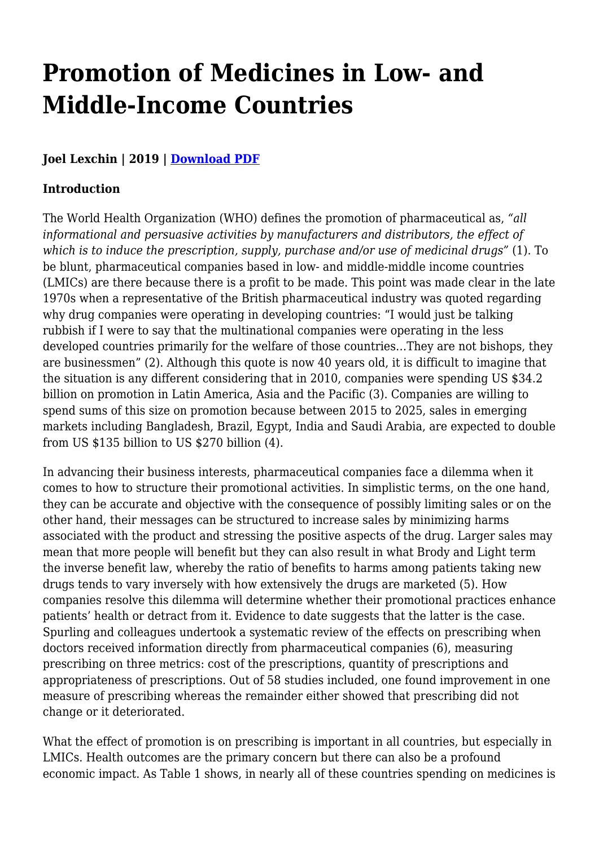# **Promotion of Medicines in Low- and Middle-Income Countries**

# **Joel Lexchin | 2019 | [Download PDF](https://haiweb.org/wp-content/uploads/2020/02/Promotion-of-Medicines-in-LMIC.pdf)**

## **Introduction**

The World Health Organization (WHO) defines the promotion of pharmaceutical as, *"all informational and persuasive activities by manufacturers and distributors, the effect of which is to induce the prescription, supply, purchase and/or use of medicinal drugs"* (1). To be blunt, pharmaceutical companies based in low- and middle-middle income countries (LMICs) are there because there is a profit to be made. This point was made clear in the late 1970s when a representative of the British pharmaceutical industry was quoted regarding why drug companies were operating in developing countries: "I would just be talking rubbish if I were to say that the multinational companies were operating in the less developed countries primarily for the welfare of those countries…They are not bishops, they are businessmen" (2). Although this quote is now 40 years old, it is difficult to imagine that the situation is any different considering that in 2010, companies were spending US \$34.2 billion on promotion in Latin America, Asia and the Pacific (3). Companies are willing to spend sums of this size on promotion because between 2015 to 2025, sales in emerging markets including Bangladesh, Brazil, Egypt, India and Saudi Arabia, are expected to double from US \$135 billion to US \$270 billion (4).

In advancing their business interests, pharmaceutical companies face a dilemma when it comes to how to structure their promotional activities. In simplistic terms, on the one hand, they can be accurate and objective with the consequence of possibly limiting sales or on the other hand, their messages can be structured to increase sales by minimizing harms associated with the product and stressing the positive aspects of the drug. Larger sales may mean that more people will benefit but they can also result in what Brody and Light term the inverse benefit law, whereby the ratio of benefits to harms among patients taking new drugs tends to vary inversely with how extensively the drugs are marketed (5). How companies resolve this dilemma will determine whether their promotional practices enhance patients' health or detract from it. Evidence to date suggests that the latter is the case. Spurling and colleagues undertook a systematic review of the effects on prescribing when doctors received information directly from pharmaceutical companies (6), measuring prescribing on three metrics: cost of the prescriptions, quantity of prescriptions and appropriateness of prescriptions. Out of 58 studies included, one found improvement in one measure of prescribing whereas the remainder either showed that prescribing did not change or it deteriorated.

What the effect of promotion is on prescribing is important in all countries, but especially in LMICs. Health outcomes are the primary concern but there can also be a profound economic impact. As Table 1 shows, in nearly all of these countries spending on medicines is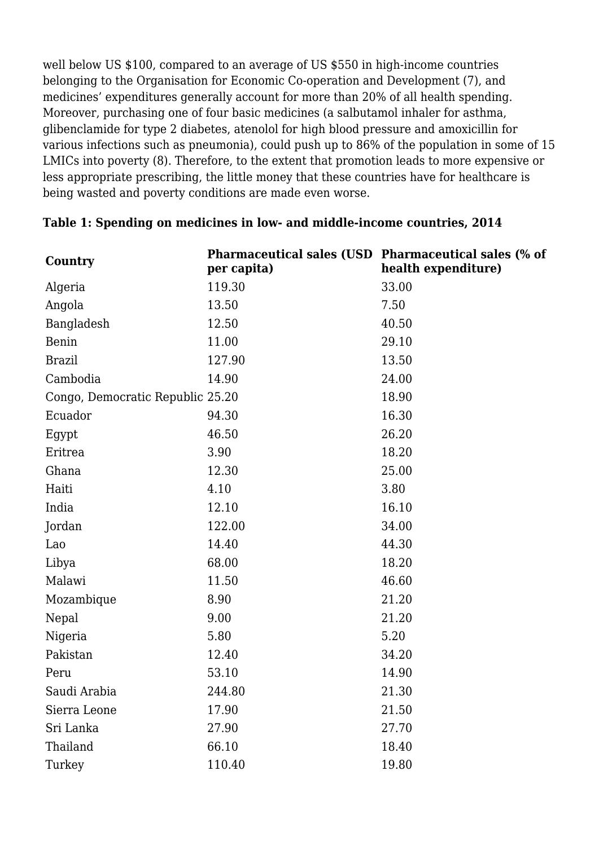well below US \$100, compared to an average of US \$550 in high-income countries belonging to the Organisation for Economic Co-operation and Development (7), and medicines' expenditures generally account for more than 20% of all health spending. Moreover, purchasing one of four basic medicines (a salbutamol inhaler for asthma, glibenclamide for type 2 diabetes, atenolol for high blood pressure and amoxicillin for various infections such as pneumonia), could push up to 86% of the population in some of 15 LMICs into poverty (8). Therefore, to the extent that promotion leads to more expensive or less appropriate prescribing, the little money that these countries have for healthcare is being wasted and poverty conditions are made even worse.

| Country                          | Pharmaceutical sales (USD Pharmaceutical sales (% of<br>per capita) | health expenditure) |
|----------------------------------|---------------------------------------------------------------------|---------------------|
| Algeria                          | 119.30                                                              | 33.00               |
| Angola                           | 13.50                                                               | 7.50                |
| Bangladesh                       | 12.50                                                               | 40.50               |
| Benin                            | 11.00                                                               | 29.10               |
| <b>Brazil</b>                    | 127.90                                                              | 13.50               |
| Cambodia                         | 14.90                                                               | 24.00               |
| Congo, Democratic Republic 25.20 |                                                                     | 18.90               |
| Ecuador                          | 94.30                                                               | 16.30               |
| Egypt                            | 46.50                                                               | 26.20               |
| Eritrea                          | 3.90                                                                | 18.20               |
| Ghana                            | 12.30                                                               | 25.00               |
| Haiti                            | 4.10                                                                | 3.80                |
| India                            | 12.10                                                               | 16.10               |
| Jordan                           | 122.00                                                              | 34.00               |
| Lao                              | 14.40                                                               | 44.30               |
| Libya                            | 68.00                                                               | 18.20               |
| Malawi                           | 11.50                                                               | 46.60               |
| Mozambique                       | 8.90                                                                | 21.20               |
| Nepal                            | 9.00                                                                | 21.20               |
| Nigeria                          | 5.80                                                                | 5.20                |
| Pakistan                         | 12.40                                                               | 34.20               |
| Peru                             | 53.10                                                               | 14.90               |
| Saudi Arabia                     | 244.80                                                              | 21.30               |
| Sierra Leone                     | 17.90                                                               | 21.50               |
| Sri Lanka                        | 27.90                                                               | 27.70               |
| Thailand                         | 66.10                                                               | 18.40               |
| Turkey                           | 110.40                                                              | 19.80               |

#### **Table 1: Spending on medicines in low- and middle-income countries, 2014**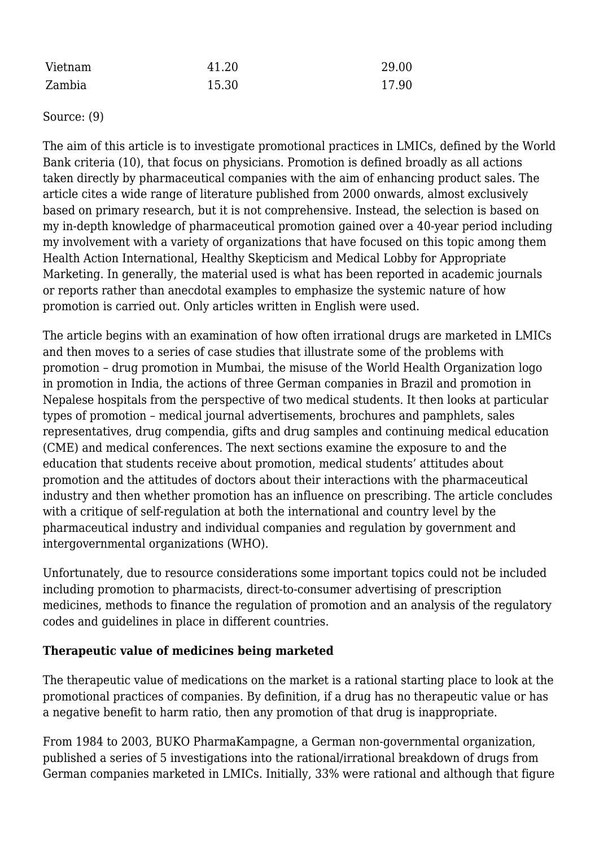| Vietnam | 41.20 | 29.00 |
|---------|-------|-------|
| Zambia  | 15.30 | 17.90 |

Source: (9)

The aim of this article is to investigate promotional practices in LMICs, defined by the World Bank criteria (10), that focus on physicians. Promotion is defined broadly as all actions taken directly by pharmaceutical companies with the aim of enhancing product sales. The article cites a wide range of literature published from 2000 onwards, almost exclusively based on primary research, but it is not comprehensive. Instead, the selection is based on my in-depth knowledge of pharmaceutical promotion gained over a 40-year period including my involvement with a variety of organizations that have focused on this topic among them Health Action International, Healthy Skepticism and Medical Lobby for Appropriate Marketing. In generally, the material used is what has been reported in academic journals or reports rather than anecdotal examples to emphasize the systemic nature of how promotion is carried out. Only articles written in English were used.

The article begins with an examination of how often irrational drugs are marketed in LMICs and then moves to a series of case studies that illustrate some of the problems with promotion – drug promotion in Mumbai, the misuse of the World Health Organization logo in promotion in India, the actions of three German companies in Brazil and promotion in Nepalese hospitals from the perspective of two medical students. It then looks at particular types of promotion – medical journal advertisements, brochures and pamphlets, sales representatives, drug compendia, gifts and drug samples and continuing medical education (CME) and medical conferences. The next sections examine the exposure to and the education that students receive about promotion, medical students' attitudes about promotion and the attitudes of doctors about their interactions with the pharmaceutical industry and then whether promotion has an influence on prescribing. The article concludes with a critique of self-regulation at both the international and country level by the pharmaceutical industry and individual companies and regulation by government and intergovernmental organizations (WHO).

Unfortunately, due to resource considerations some important topics could not be included including promotion to pharmacists, direct-to-consumer advertising of prescription medicines, methods to finance the regulation of promotion and an analysis of the regulatory codes and guidelines in place in different countries.

## **Therapeutic value of medicines being marketed**

The therapeutic value of medications on the market is a rational starting place to look at the promotional practices of companies. By definition, if a drug has no therapeutic value or has a negative benefit to harm ratio, then any promotion of that drug is inappropriate.

From 1984 to 2003, BUKO PharmaKampagne, a German non-governmental organization, published a series of 5 investigations into the rational/irrational breakdown of drugs from German companies marketed in LMICs. Initially, 33% were rational and although that figure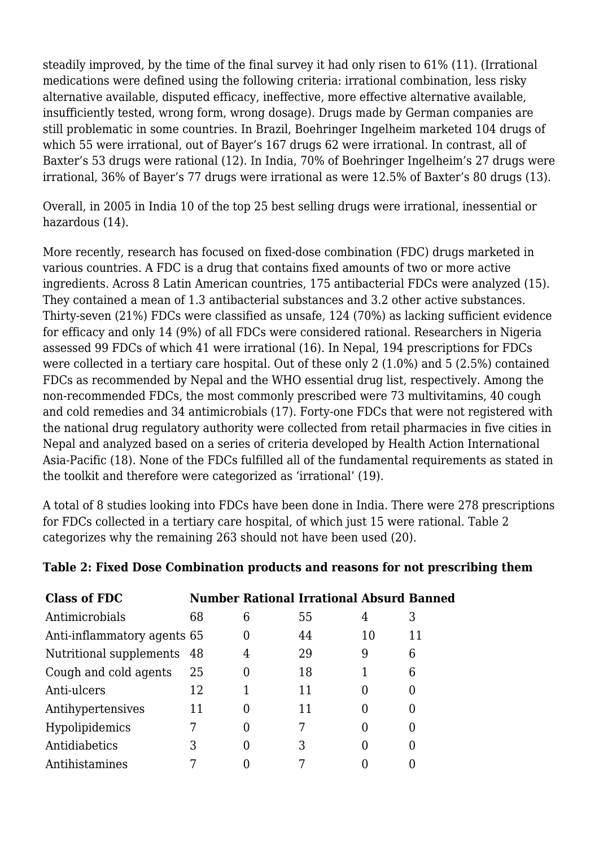steadily improved, by the time of the final survey it had only risen to 61% (11). (Irrational medications were defined using the following criteria: irrational combination, less risky alternative available, disputed efficacy, ineffective, more effective alternative available, insufficiently tested, wrong form, wrong dosage). Drugs made by German companies are still problematic in some countries. In Brazil, Boehringer Ingelheim marketed 104 drugs of which 55 were irrational, out of Bayer's 167 drugs 62 were irrational. In contrast, all of Baxter's 53 drugs were rational (12). In India, 70% of Boehringer Ingelheim's 27 drugs were irrational, 36% of Bayer's 77 drugs were irrational as were 12.5% of Baxter's 80 drugs (13).

Overall, in 2005 in India 10 of the top 25 best selling drugs were irrational, inessential or hazardous (14).

More recently, research has focused on fixed-dose combination (FDC) drugs marketed in various countries. A FDC is a drug that contains fixed amounts of two or more active ingredients. Across 8 Latin American countries, 175 antibacterial FDCs were analyzed (15). They contained a mean of 1.3 antibacterial substances and 3.2 other active substances. Thirty-seven (21%) FDCs were classified as unsafe, 124 (70%) as lacking sufficient evidence for efficacy and only 14 (9%) of all FDCs were considered rational. Researchers in Nigeria assessed 99 FDCs of which 41 were irrational (16). In Nepal, 194 prescriptions for FDCs were collected in a tertiary care hospital. Out of these only 2 (1.0%) and 5 (2.5%) contained FDCs as recommended by Nepal and the WHO essential drug list, respectively. Among the non-recommended FDCs, the most commonly prescribed were 73 multivitamins, 40 cough and cold remedies and 34 antimicrobials (17). Forty-one FDCs that were not registered with the national drug regulatory authority were collected from retail pharmacies in five cities in Nepal and analyzed based on a series of criteria developed by Health Action International Asia-Pacific (18). None of the FDCs fulfilled all of the fundamental requirements as stated in the toolkit and therefore were categorized as 'irrational' (19).

A total of 8 studies looking into FDCs have been done in India. There were 278 prescriptions for FDCs collected in a tertiary care hospital, of which just 15 were rational. Table 2 categorizes why the remaining 263 should not have been used (20).

| <b>Class of FDC</b>         |    |          | <b>Number Rational Irrational Absurd Banned</b> |    |    |
|-----------------------------|----|----------|-------------------------------------------------|----|----|
| Antimicrobials              | 68 | 6        | 55                                              | 4  | З  |
| Anti-inflammatory agents 65 |    |          | 44                                              | 10 | 11 |
| Nutritional supplements 48  |    | 4        | 29                                              | 9  | 6  |
| Cough and cold agents       | 25 |          | 18                                              |    | 6  |
| Anti-ulcers                 | 12 |          | 11                                              |    |    |
| Antihypertensives           | 11 | $\Omega$ | 11                                              |    |    |
| Hypolipidemics              |    | 0        |                                                 |    |    |
| Antidiabetics               | З  | $\Omega$ | 3                                               |    |    |
| Antihistamines              |    |          |                                                 |    |    |

## **Table 2: Fixed Dose Combination products and reasons for not prescribing them**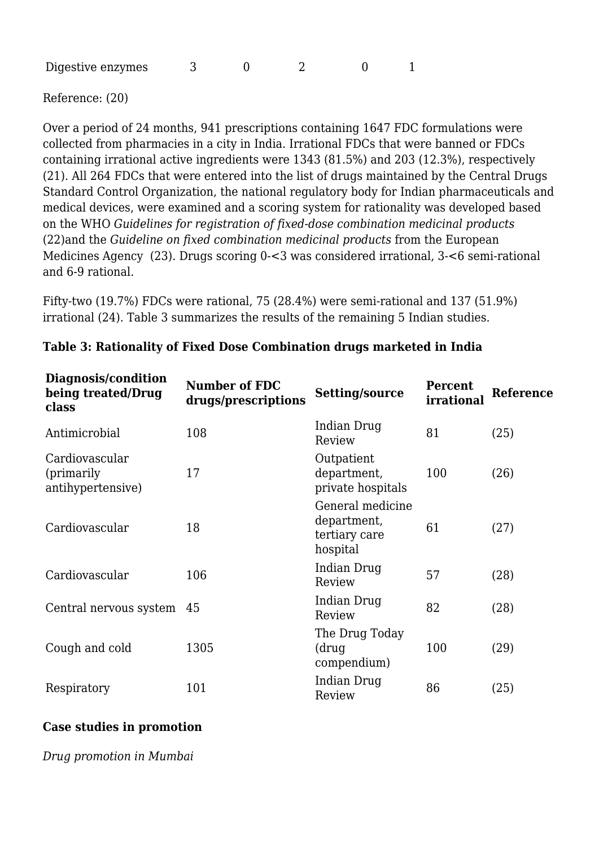| Digestive enzymes |  |  |  |  |  |
|-------------------|--|--|--|--|--|
|-------------------|--|--|--|--|--|

Reference: (20)

Over a period of 24 months, 941 prescriptions containing 1647 FDC formulations were collected from pharmacies in a city in India. Irrational FDCs that were banned or FDCs containing irrational active ingredients were 1343 (81.5%) and 203 (12.3%), respectively (21). All 264 FDCs that were entered into the list of drugs maintained by the Central Drugs Standard Control Organization, the national regulatory body for Indian pharmaceuticals and medical devices, were examined and a scoring system for rationality was developed based on the WHO *Guidelines for registration of fixed-dose combination medicinal products* (22)and the *Guideline on fixed combination medicinal products* from the European Medicines Agency (23). Drugs scoring 0-<3 was considered irrational, 3-<6 semi-rational and 6-9 rational.

Fifty-two (19.7%) FDCs were rational, 75 (28.4%) were semi-rational and 137 (51.9%) irrational (24). Table 3 summarizes the results of the remaining 5 Indian studies.

| Diagnosis/condition<br>being treated/Drug<br>class | <b>Number of FDC</b><br>drugs/prescriptions | <b>Setting/source</b>                                        | <b>Percent</b><br>irrational | <b>Reference</b> |
|----------------------------------------------------|---------------------------------------------|--------------------------------------------------------------|------------------------------|------------------|
| Antimicrobial                                      | 108                                         | Indian Drug<br>Review                                        | 81                           | (25)             |
| Cardiovascular<br>(primarily)<br>antihypertensive) | 17                                          | Outpatient<br>department,<br>private hospitals               | 100                          | (26)             |
| Cardiovascular                                     | 18                                          | General medicine<br>department,<br>tertiary care<br>hospital | 61                           | (27)             |
| Cardiovascular                                     | 106                                         | Indian Drug<br>Review                                        | 57                           | (28)             |
| Central nervous system                             | 45                                          | Indian Drug<br>Review                                        | 82                           | (28)             |
| Cough and cold                                     | 1305                                        | The Drug Today<br>(drug<br>compendium)                       | 100                          | (29)             |
| Respiratory                                        | 101                                         | Indian Drug<br>Review                                        | 86                           | (25)             |

#### **Table 3: Rationality of Fixed Dose Combination drugs marketed in India**

#### **Case studies in promotion**

*Drug promotion in Mumbai*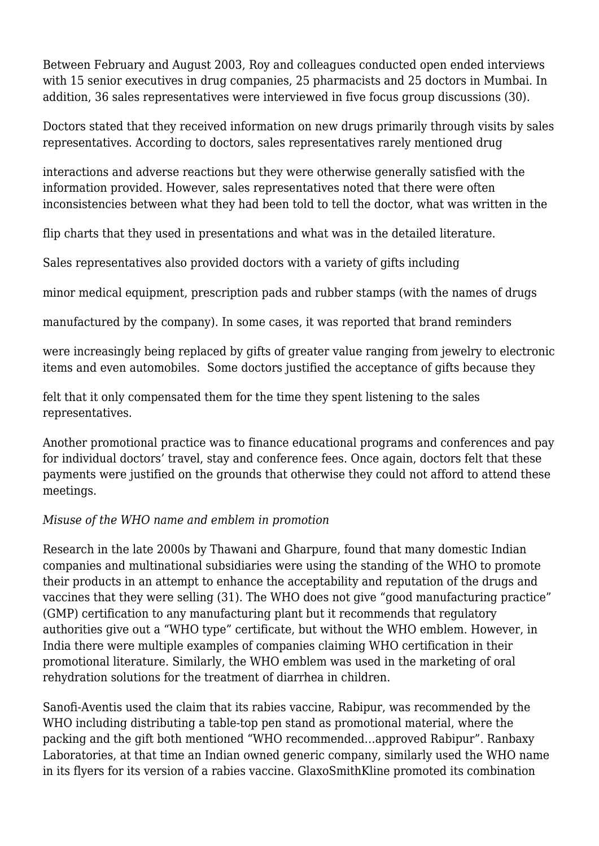Between February and August 2003, Roy and colleagues conducted open ended interviews with 15 senior executives in drug companies, 25 pharmacists and 25 doctors in Mumbai. In addition, 36 sales representatives were interviewed in five focus group discussions (30).

Doctors stated that they received information on new drugs primarily through visits by sales representatives. According to doctors, sales representatives rarely mentioned drug

interactions and adverse reactions but they were otherwise generally satisfied with the information provided. However, sales representatives noted that there were often inconsistencies between what they had been told to tell the doctor, what was written in the

flip charts that they used in presentations and what was in the detailed literature.

Sales representatives also provided doctors with a variety of gifts including

minor medical equipment, prescription pads and rubber stamps (with the names of drugs

manufactured by the company). In some cases, it was reported that brand reminders

were increasingly being replaced by gifts of greater value ranging from jewelry to electronic items and even automobiles. Some doctors justified the acceptance of gifts because they

felt that it only compensated them for the time they spent listening to the sales representatives.

Another promotional practice was to finance educational programs and conferences and pay for individual doctors' travel, stay and conference fees. Once again, doctors felt that these payments were justified on the grounds that otherwise they could not afford to attend these meetings.

# *Misuse of the WHO name and emblem in promotion*

Research in the late 2000s by Thawani and Gharpure, found that many domestic Indian companies and multinational subsidiaries were using the standing of the WHO to promote their products in an attempt to enhance the acceptability and reputation of the drugs and vaccines that they were selling (31). The WHO does not give "good manufacturing practice" (GMP) certification to any manufacturing plant but it recommends that regulatory authorities give out a "WHO type" certificate, but without the WHO emblem. However, in India there were multiple examples of companies claiming WHO certification in their promotional literature. Similarly, the WHO emblem was used in the marketing of oral rehydration solutions for the treatment of diarrhea in children.

Sanofi-Aventis used the claim that its rabies vaccine, Rabipur, was recommended by the WHO including distributing a table-top pen stand as promotional material, where the packing and the gift both mentioned "WHO recommended…approved Rabipur". Ranbaxy Laboratories, at that time an Indian owned generic company, similarly used the WHO name in its flyers for its version of a rabies vaccine. GlaxoSmithKline promoted its combination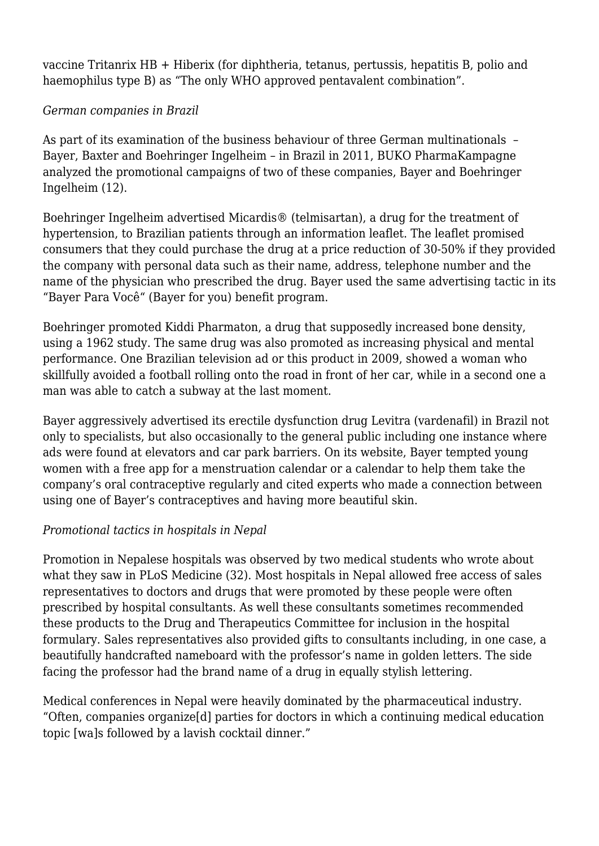vaccine Tritanrix HB + Hiberix (for diphtheria, tetanus, pertussis, hepatitis B, polio and haemophilus type B) as "The only WHO approved pentavalent combination".

## *German companies in Brazil*

As part of its examination of the business behaviour of three German multinationals – Bayer, Baxter and Boehringer Ingelheim – in Brazil in 2011, BUKO PharmaKampagne analyzed the promotional campaigns of two of these companies, Bayer and Boehringer Ingelheim (12).

Boehringer Ingelheim advertised Micardis® (telmisartan), a drug for the treatment of hypertension, to Brazilian patients through an information leaflet. The leaflet promised consumers that they could purchase the drug at a price reduction of 30-50% if they provided the company with personal data such as their name, address, telephone number and the name of the physician who prescribed the drug. Bayer used the same advertising tactic in its "Bayer Para Você" (Bayer for you) benefit program.

Boehringer promoted Kiddi Pharmaton, a drug that supposedly increased bone density, using a 1962 study. The same drug was also promoted as increasing physical and mental performance. One Brazilian television ad or this product in 2009, showed a woman who skillfully avoided a football rolling onto the road in front of her car, while in a second one a man was able to catch a subway at the last moment.

Bayer aggressively advertised its erectile dysfunction drug Levitra (vardenafil) in Brazil not only to specialists, but also occasionally to the general public including one instance where ads were found at elevators and car park barriers. On its website, Bayer tempted young women with a free app for a menstruation calendar or a calendar to help them take the company's oral contraceptive regularly and cited experts who made a connection between using one of Bayer's contraceptives and having more beautiful skin.

# *Promotional tactics in hospitals in Nepal*

Promotion in Nepalese hospitals was observed by two medical students who wrote about what they saw in PLoS Medicine (32). Most hospitals in Nepal allowed free access of sales representatives to doctors and drugs that were promoted by these people were often prescribed by hospital consultants. As well these consultants sometimes recommended these products to the Drug and Therapeutics Committee for inclusion in the hospital formulary. Sales representatives also provided gifts to consultants including, in one case, a beautifully handcrafted nameboard with the professor's name in golden letters. The side facing the professor had the brand name of a drug in equally stylish lettering.

Medical conferences in Nepal were heavily dominated by the pharmaceutical industry. "Often, companies organize[d] parties for doctors in which a continuing medical education topic [wa]s followed by a lavish cocktail dinner."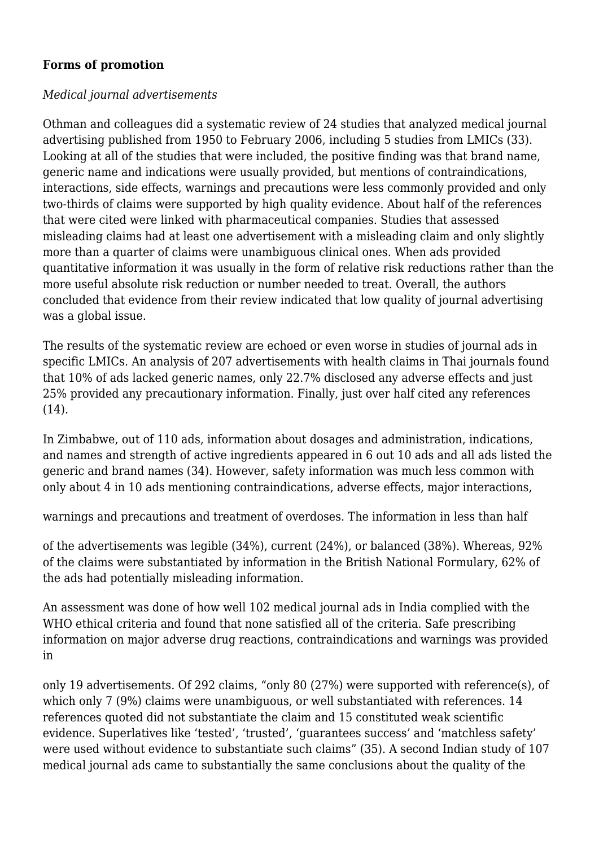## **Forms of promotion**

## *Medical journal advertisements*

Othman and colleagues did a systematic review of 24 studies that analyzed medical journal advertising published from 1950 to February 2006, including 5 studies from LMICs (33). Looking at all of the studies that were included, the positive finding was that brand name, generic name and indications were usually provided, but mentions of contraindications, interactions, side effects, warnings and precautions were less commonly provided and only two-thirds of claims were supported by high quality evidence. About half of the references that were cited were linked with pharmaceutical companies. Studies that assessed misleading claims had at least one advertisement with a misleading claim and only slightly more than a quarter of claims were unambiguous clinical ones. When ads provided quantitative information it was usually in the form of relative risk reductions rather than the more useful absolute risk reduction or number needed to treat. Overall, the authors concluded that evidence from their review indicated that low quality of journal advertising was a global issue.

The results of the systematic review are echoed or even worse in studies of journal ads in specific LMICs. An analysis of 207 advertisements with health claims in Thai journals found that 10% of ads lacked generic names, only 22.7% disclosed any adverse effects and just 25% provided any precautionary information. Finally, just over half cited any references (14).

In Zimbabwe, out of 110 ads, information about dosages and administration, indications, and names and strength of active ingredients appeared in 6 out 10 ads and all ads listed the generic and brand names (34). However, safety information was much less common with only about 4 in 10 ads mentioning contraindications, adverse effects, major interactions,

warnings and precautions and treatment of overdoses. The information in less than half

of the advertisements was legible (34%), current (24%), or balanced (38%). Whereas, 92% of the claims were substantiated by information in the British National Formulary, 62% of the ads had potentially misleading information.

An assessment was done of how well 102 medical journal ads in India complied with the WHO ethical criteria and found that none satisfied all of the criteria. Safe prescribing information on major adverse drug reactions, contraindications and warnings was provided in

only 19 advertisements. Of 292 claims, "only 80 (27%) were supported with reference(s), of which only 7 (9%) claims were unambiguous, or well substantiated with references, 14 references quoted did not substantiate the claim and 15 constituted weak scientific evidence. Superlatives like 'tested', 'trusted', 'guarantees success' and 'matchless safety' were used without evidence to substantiate such claims" (35). A second Indian study of 107 medical journal ads came to substantially the same conclusions about the quality of the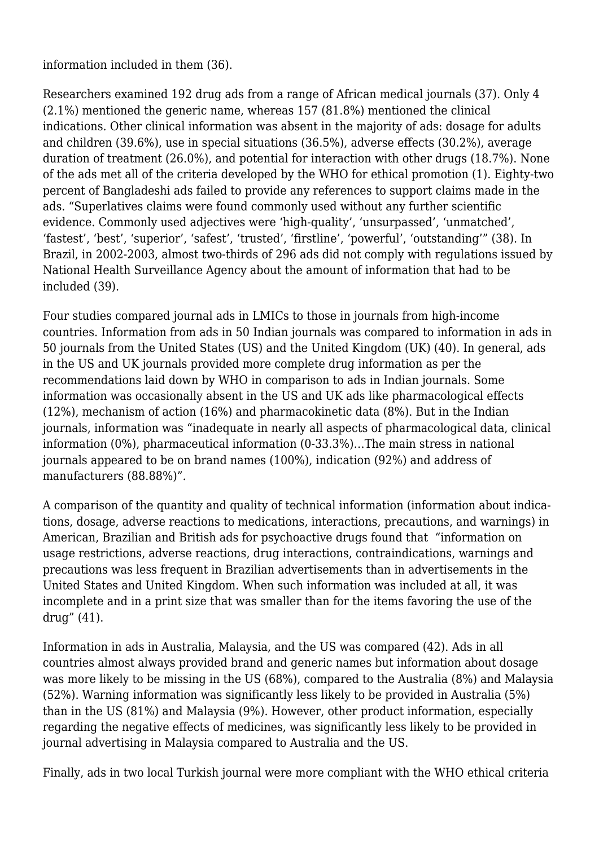information included in them (36).

Researchers examined 192 drug ads from a range of African medical journals (37). Only 4 (2.1%) mentioned the generic name, whereas 157 (81.8%) mentioned the clinical indications. Other clinical information was absent in the majority of ads: dosage for adults and children (39.6%), use in special situations (36.5%), adverse effects (30.2%), average duration of treatment (26.0%), and potential for interaction with other drugs (18.7%). None of the ads met all of the criteria developed by the WHO for ethical promotion (1). Eighty-two percent of Bangladeshi ads failed to provide any references to support claims made in the ads. "Superlatives claims were found commonly used without any further scientific evidence. Commonly used adjectives were 'high-quality', 'unsurpassed', 'unmatched', 'fastest', 'best', 'superior', 'safest', 'trusted', 'firstline', 'powerful', 'outstanding'" (38). In Brazil, in 2002-2003, almost two-thirds of 296 ads did not comply with regulations issued by National Health Surveillance Agency about the amount of information that had to be included (39).

Four studies compared journal ads in LMICs to those in journals from high-income countries. Information from ads in 50 Indian journals was compared to information in ads in 50 journals from the United States (US) and the United Kingdom (UK) (40). In general, ads in the US and UK journals provided more complete drug information as per the recommendations laid down by WHO in comparison to ads in Indian journals. Some information was occasionally absent in the US and UK ads like pharmacological effects (12%), mechanism of action (16%) and pharmacokinetic data (8%). But in the Indian journals, information was "inadequate in nearly all aspects of pharmacological data, clinical information (0%), pharmaceutical information (0-33.3%)…The main stress in national journals appeared to be on brand names (100%), indication (92%) and address of manufacturers (88.88%)".

A comparison of the quantity and quality of technical information (information about indications, dosage, adverse reactions to medications, interactions, precautions, and warnings) in American, Brazilian and British ads for psychoactive drugs found that "information on usage restrictions, adverse reactions, drug interactions, contraindications, warnings and precautions was less frequent in Brazilian advertisements than in advertisements in the United States and United Kingdom. When such information was included at all, it was incomplete and in a print size that was smaller than for the items favoring the use of the drug" (41).

Information in ads in Australia, Malaysia, and the US was compared (42). Ads in all countries almost always provided brand and generic names but information about dosage was more likely to be missing in the US (68%), compared to the Australia (8%) and Malaysia (52%). Warning information was significantly less likely to be provided in Australia (5%) than in the US (81%) and Malaysia (9%). However, other product information, especially regarding the negative effects of medicines, was significantly less likely to be provided in journal advertising in Malaysia compared to Australia and the US.

Finally, ads in two local Turkish journal were more compliant with the WHO ethical criteria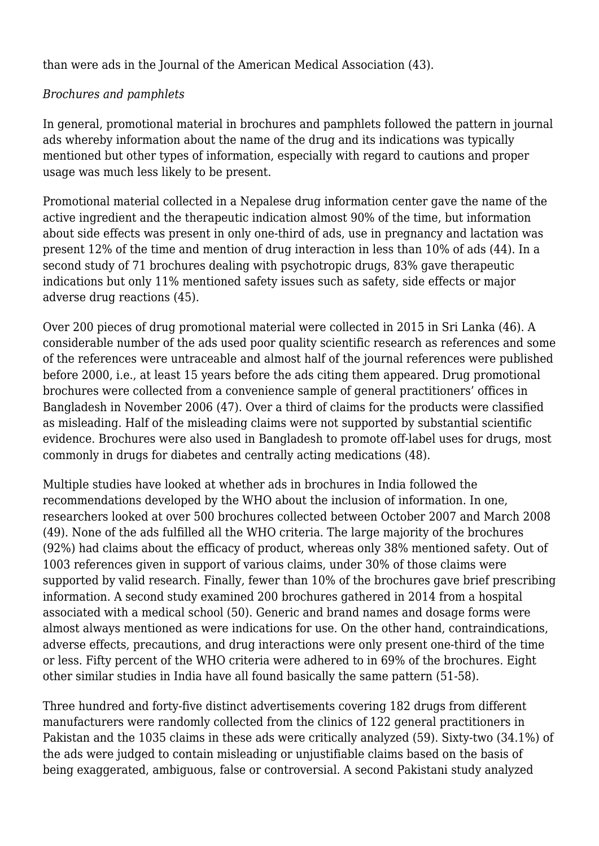than were ads in the Journal of the American Medical Association (43).

## *Brochures and pamphlets*

In general, promotional material in brochures and pamphlets followed the pattern in journal ads whereby information about the name of the drug and its indications was typically mentioned but other types of information, especially with regard to cautions and proper usage was much less likely to be present.

Promotional material collected in a Nepalese drug information center gave the name of the active ingredient and the therapeutic indication almost 90% of the time, but information about side effects was present in only one-third of ads, use in pregnancy and lactation was present 12% of the time and mention of drug interaction in less than 10% of ads (44). In a second study of 71 brochures dealing with psychotropic drugs, 83% gave therapeutic indications but only 11% mentioned safety issues such as safety, side effects or major adverse drug reactions (45).

Over 200 pieces of drug promotional material were collected in 2015 in Sri Lanka (46). A considerable number of the ads used poor quality scientific research as references and some of the references were untraceable and almost half of the journal references were published before 2000, i.e., at least 15 years before the ads citing them appeared. Drug promotional brochures were collected from a convenience sample of general practitioners' offices in Bangladesh in November 2006 (47). Over a third of claims for the products were classified as misleading. Half of the misleading claims were not supported by substantial scientific evidence. Brochures were also used in Bangladesh to promote off-label uses for drugs, most commonly in drugs for diabetes and centrally acting medications (48).

Multiple studies have looked at whether ads in brochures in India followed the recommendations developed by the WHO about the inclusion of information. In one, researchers looked at over 500 brochures collected between October 2007 and March 2008 (49). None of the ads fulfilled all the WHO criteria. The large majority of the brochures (92%) had claims about the efficacy of product, whereas only 38% mentioned safety. Out of 1003 references given in support of various claims, under 30% of those claims were supported by valid research. Finally, fewer than 10% of the brochures gave brief prescribing information. A second study examined 200 brochures gathered in 2014 from a hospital associated with a medical school (50). Generic and brand names and dosage forms were almost always mentioned as were indications for use. On the other hand, contraindications, adverse effects, precautions, and drug interactions were only present one-third of the time or less. Fifty percent of the WHO criteria were adhered to in 69% of the brochures. Eight other similar studies in India have all found basically the same pattern (51-58).

Three hundred and forty-five distinct advertisements covering 182 drugs from different manufacturers were randomly collected from the clinics of 122 general practitioners in Pakistan and the 1035 claims in these ads were critically analyzed (59). Sixty-two (34.1%) of the ads were judged to contain misleading or unjustifiable claims based on the basis of being exaggerated, ambiguous, false or controversial. A second Pakistani study analyzed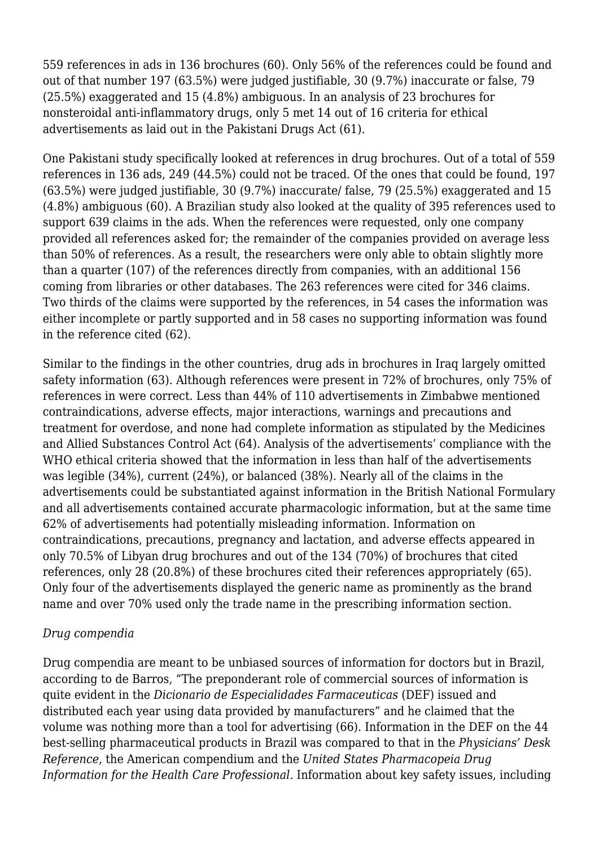559 references in ads in 136 brochures (60). Only 56% of the references could be found and out of that number 197 (63.5%) were judged justifiable, 30 (9.7%) inaccurate or false, 79 (25.5%) exaggerated and 15 (4.8%) ambiguous. In an analysis of 23 brochures for nonsteroidal anti-inflammatory drugs, only 5 met 14 out of 16 criteria for ethical advertisements as laid out in the Pakistani Drugs Act (61).

One Pakistani study specifically looked at references in drug brochures. Out of a total of 559 references in 136 ads, 249 (44.5%) could not be traced. Of the ones that could be found, 197 (63.5%) were judged justifiable, 30 (9.7%) inaccurate/ false, 79 (25.5%) exaggerated and 15 (4.8%) ambiguous (60). A Brazilian study also looked at the quality of 395 references used to support 639 claims in the ads. When the references were requested, only one company provided all references asked for; the remainder of the companies provided on average less than 50% of references. As a result, the researchers were only able to obtain slightly more than a quarter (107) of the references directly from companies, with an additional 156 coming from libraries or other databases. The 263 references were cited for 346 claims. Two thirds of the claims were supported by the references, in 54 cases the information was either incomplete or partly supported and in 58 cases no supporting information was found in the reference cited (62).

Similar to the findings in the other countries, drug ads in brochures in Iraq largely omitted safety information (63). Although references were present in 72% of brochures, only 75% of references in were correct. Less than 44% of 110 advertisements in Zimbabwe mentioned contraindications, adverse effects, major interactions, warnings and precautions and treatment for overdose, and none had complete information as stipulated by the Medicines and Allied Substances Control Act (64). Analysis of the advertisements' compliance with the WHO ethical criteria showed that the information in less than half of the advertisements was legible (34%), current (24%), or balanced (38%). Nearly all of the claims in the advertisements could be substantiated against information in the British National Formulary and all advertisements contained accurate pharmacologic information, but at the same time 62% of advertisements had potentially misleading information. Information on contraindications, precautions, pregnancy and lactation, and adverse effects appeared in only 70.5% of Libyan drug brochures and out of the 134 (70%) of brochures that cited references, only 28 (20.8%) of these brochures cited their references appropriately (65). Only four of the advertisements displayed the generic name as prominently as the brand name and over 70% used only the trade name in the prescribing information section.

## *Drug compendia*

Drug compendia are meant to be unbiased sources of information for doctors but in Brazil, according to de Barros, "The preponderant role of commercial sources of information is quite evident in the *Dicionario de Especialidades Farmaceuticas* (DEF) issued and distributed each year using data provided by manufacturers" and he claimed that the volume was nothing more than a tool for advertising (66). Information in the DEF on the 44 best-selling pharmaceutical products in Brazil was compared to that in the *Physicians' Desk Reference*, the American compendium and the *United States Pharmacopeia Drug Information for the Health Care Professional*. Information about key safety issues, including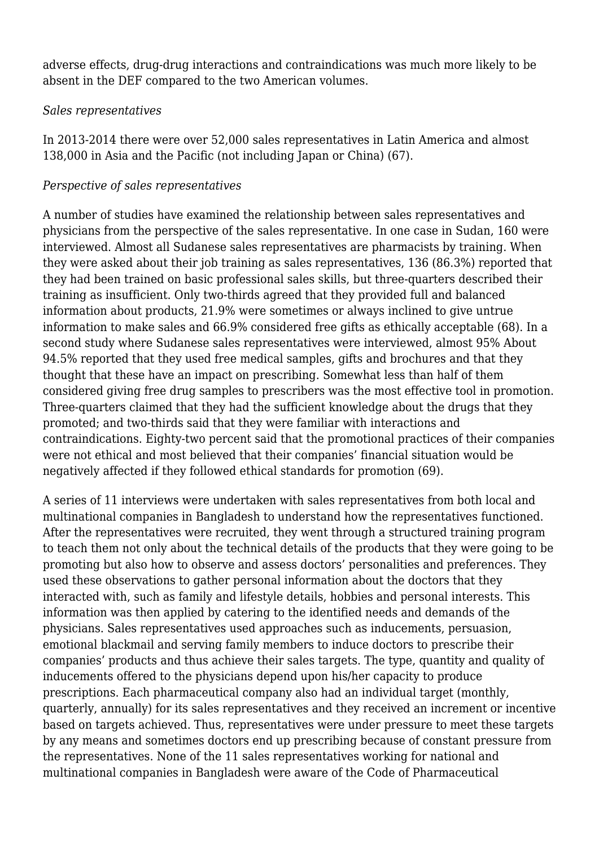adverse effects, drug-drug interactions and contraindications was much more likely to be absent in the DEF compared to the two American volumes.

## *Sales representatives*

In 2013-2014 there were over 52,000 sales representatives in Latin America and almost 138,000 in Asia and the Pacific (not including Japan or China) (67).

#### *Perspective of sales representatives*

A number of studies have examined the relationship between sales representatives and physicians from the perspective of the sales representative. In one case in Sudan, 160 were interviewed. Almost all Sudanese sales representatives are pharmacists by training. When they were asked about their job training as sales representatives, 136 (86.3%) reported that they had been trained on basic professional sales skills, but three-quarters described their training as insufficient. Only two-thirds agreed that they provided full and balanced information about products, 21.9% were sometimes or always inclined to give untrue information to make sales and 66.9% considered free gifts as ethically acceptable (68). In a second study where Sudanese sales representatives were interviewed, almost 95% About 94.5% reported that they used free medical samples, gifts and brochures and that they thought that these have an impact on prescribing. Somewhat less than half of them considered giving free drug samples to prescribers was the most effective tool in promotion. Three-quarters claimed that they had the sufficient knowledge about the drugs that they promoted; and two-thirds said that they were familiar with interactions and contraindications. Eighty-two percent said that the promotional practices of their companies were not ethical and most believed that their companies' financial situation would be negatively affected if they followed ethical standards for promotion (69).

A series of 11 interviews were undertaken with sales representatives from both local and multinational companies in Bangladesh to understand how the representatives functioned. After the representatives were recruited, they went through a structured training program to teach them not only about the technical details of the products that they were going to be promoting but also how to observe and assess doctors' personalities and preferences. They used these observations to gather personal information about the doctors that they interacted with, such as family and lifestyle details, hobbies and personal interests. This information was then applied by catering to the identified needs and demands of the physicians. Sales representatives used approaches such as inducements, persuasion, emotional blackmail and serving family members to induce doctors to prescribe their companies' products and thus achieve their sales targets. The type, quantity and quality of inducements offered to the physicians depend upon his/her capacity to produce prescriptions. Each pharmaceutical company also had an individual target (monthly, quarterly, annually) for its sales representatives and they received an increment or incentive based on targets achieved. Thus, representatives were under pressure to meet these targets by any means and sometimes doctors end up prescribing because of constant pressure from the representatives. None of the 11 sales representatives working for national and multinational companies in Bangladesh were aware of the Code of Pharmaceutical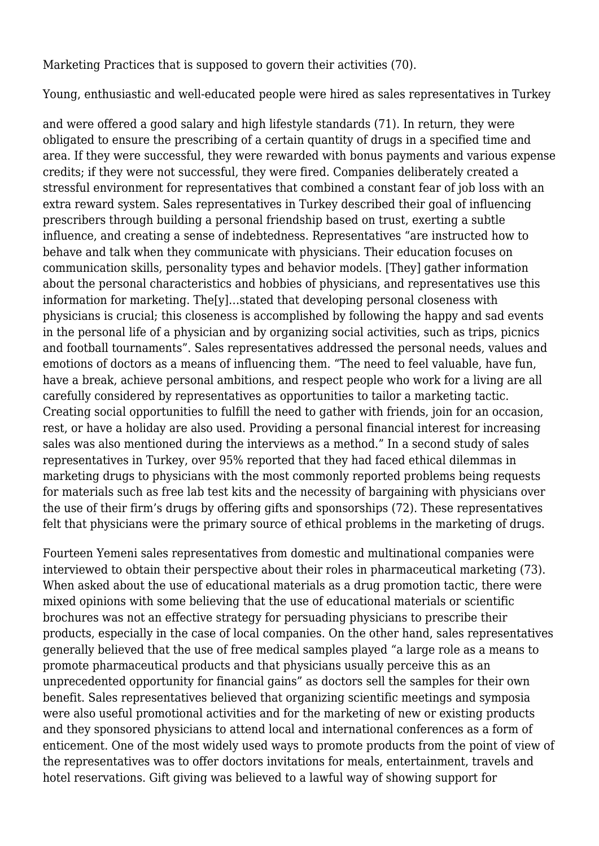Marketing Practices that is supposed to govern their activities (70).

Young, enthusiastic and well-educated people were hired as sales representatives in Turkey

and were offered a good salary and high lifestyle standards (71). In return, they were obligated to ensure the prescribing of a certain quantity of drugs in a specified time and area. If they were successful, they were rewarded with bonus payments and various expense credits; if they were not successful, they were fired. Companies deliberately created a stressful environment for representatives that combined a constant fear of job loss with an extra reward system. Sales representatives in Turkey described their goal of influencing prescribers through building a personal friendship based on trust, exerting a subtle influence, and creating a sense of indebtedness. Representatives "are instructed how to behave and talk when they communicate with physicians. Their education focuses on communication skills, personality types and behavior models. [They] gather information about the personal characteristics and hobbies of physicians, and representatives use this information for marketing. The[y]…stated that developing personal closeness with physicians is crucial; this closeness is accomplished by following the happy and sad events in the personal life of a physician and by organizing social activities, such as trips, picnics and football tournaments". Sales representatives addressed the personal needs, values and emotions of doctors as a means of influencing them. "The need to feel valuable, have fun, have a break, achieve personal ambitions, and respect people who work for a living are all carefully considered by representatives as opportunities to tailor a marketing tactic. Creating social opportunities to fulfill the need to gather with friends, join for an occasion, rest, or have a holiday are also used. Providing a personal financial interest for increasing sales was also mentioned during the interviews as a method." In a second study of sales representatives in Turkey, over 95% reported that they had faced ethical dilemmas in marketing drugs to physicians with the most commonly reported problems being requests for materials such as free lab test kits and the necessity of bargaining with physicians over the use of their firm's drugs by offering gifts and sponsorships (72). These representatives felt that physicians were the primary source of ethical problems in the marketing of drugs.

Fourteen Yemeni sales representatives from domestic and multinational companies were interviewed to obtain their perspective about their roles in pharmaceutical marketing (73). When asked about the use of educational materials as a drug promotion tactic, there were mixed opinions with some believing that the use of educational materials or scientific brochures was not an effective strategy for persuading physicians to prescribe their products, especially in the case of local companies. On the other hand, sales representatives generally believed that the use of free medical samples played "a large role as a means to promote pharmaceutical products and that physicians usually perceive this as an unprecedented opportunity for financial gains" as doctors sell the samples for their own benefit. Sales representatives believed that organizing scientific meetings and symposia were also useful promotional activities and for the marketing of new or existing products and they sponsored physicians to attend local and international conferences as a form of enticement. One of the most widely used ways to promote products from the point of view of the representatives was to offer doctors invitations for meals, entertainment, travels and hotel reservations. Gift giving was believed to a lawful way of showing support for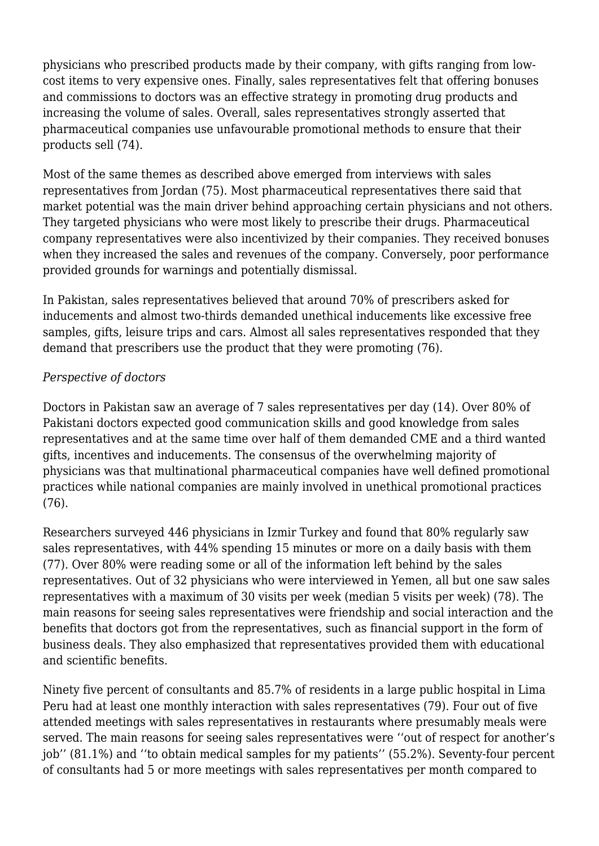physicians who prescribed products made by their company, with gifts ranging from lowcost items to very expensive ones. Finally, sales representatives felt that offering bonuses and commissions to doctors was an effective strategy in promoting drug products and increasing the volume of sales. Overall, sales representatives strongly asserted that pharmaceutical companies use unfavourable promotional methods to ensure that their products sell (74).

Most of the same themes as described above emerged from interviews with sales representatives from Jordan (75). Most pharmaceutical representatives there said that market potential was the main driver behind approaching certain physicians and not others. They targeted physicians who were most likely to prescribe their drugs. Pharmaceutical company representatives were also incentivized by their companies. They received bonuses when they increased the sales and revenues of the company. Conversely, poor performance provided grounds for warnings and potentially dismissal.

In Pakistan, sales representatives believed that around 70% of prescribers asked for inducements and almost two-thirds demanded unethical inducements like excessive free samples, gifts, leisure trips and cars. Almost all sales representatives responded that they demand that prescribers use the product that they were promoting (76).

## *Perspective of doctors*

Doctors in Pakistan saw an average of 7 sales representatives per day (14). Over 80% of Pakistani doctors expected good communication skills and good knowledge from sales representatives and at the same time over half of them demanded CME and a third wanted gifts, incentives and inducements. The consensus of the overwhelming majority of physicians was that multinational pharmaceutical companies have well defined promotional practices while national companies are mainly involved in unethical promotional practices (76).

Researchers surveyed 446 physicians in Izmir Turkey and found that 80% regularly saw sales representatives, with 44% spending 15 minutes or more on a daily basis with them (77). Over 80% were reading some or all of the information left behind by the sales representatives. Out of 32 physicians who were interviewed in Yemen, all but one saw sales representatives with a maximum of 30 visits per week (median 5 visits per week) (78). The main reasons for seeing sales representatives were friendship and social interaction and the benefits that doctors got from the representatives, such as financial support in the form of business deals. They also emphasized that representatives provided them with educational and scientific benefits.

Ninety five percent of consultants and 85.7% of residents in a large public hospital in Lima Peru had at least one monthly interaction with sales representatives (79). Four out of five attended meetings with sales representatives in restaurants where presumably meals were served. The main reasons for seeing sales representatives were ''out of respect for another's job'' (81.1%) and ''to obtain medical samples for my patients'' (55.2%). Seventy-four percent of consultants had 5 or more meetings with sales representatives per month compared to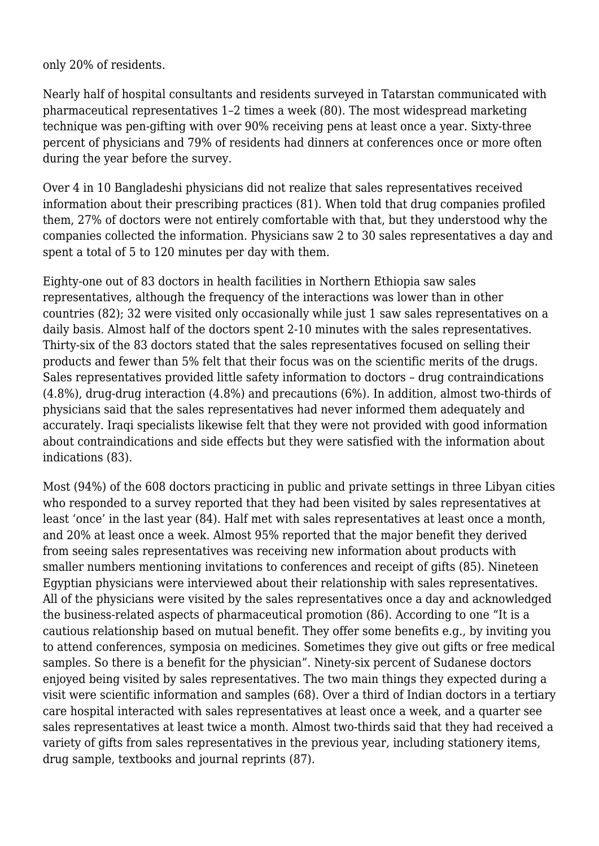only 20% of residents.

Nearly half of hospital consultants and residents surveyed in Tatarstan communicated with pharmaceutical representatives 1–2 times a week (80). The most widespread marketing technique was pen-gifting with over 90% receiving pens at least once a year. Sixty-three percent of physicians and 79% of residents had dinners at conferences once or more often during the year before the survey.

Over 4 in 10 Bangladeshi physicians did not realize that sales representatives received information about their prescribing practices (81). When told that drug companies profiled them, 27% of doctors were not entirely comfortable with that, but they understood why the companies collected the information. Physicians saw 2 to 30 sales representatives a day and spent a total of 5 to 120 minutes per day with them.

Eighty-one out of 83 doctors in health facilities in Northern Ethiopia saw sales representatives, although the frequency of the interactions was lower than in other countries (82); 32 were visited only occasionally while just 1 saw sales representatives on a daily basis. Almost half of the doctors spent 2-10 minutes with the sales representatives. Thirty-six of the 83 doctors stated that the sales representatives focused on selling their products and fewer than 5% felt that their focus was on the scientific merits of the drugs. Sales representatives provided little safety information to doctors – drug contraindications (4.8%), drug-drug interaction (4.8%) and precautions (6%). In addition, almost two-thirds of physicians said that the sales representatives had never informed them adequately and accurately. Iraqi specialists likewise felt that they were not provided with good information about contraindications and side effects but they were satisfied with the information about indications (83).

Most (94%) of the 608 doctors practicing in public and private settings in three Libyan cities who responded to a survey reported that they had been visited by sales representatives at least 'once' in the last year (84). Half met with sales representatives at least once a month, and 20% at least once a week. Almost 95% reported that the major benefit they derived from seeing sales representatives was receiving new information about products with smaller numbers mentioning invitations to conferences and receipt of gifts (85). Nineteen Egyptian physicians were interviewed about their relationship with sales representatives. All of the physicians were visited by the sales representatives once a day and acknowledged the business-related aspects of pharmaceutical promotion (86). According to one "It is a cautious relationship based on mutual benefit. They offer some benefits e.g., by inviting you to attend conferences, symposia on medicines. Sometimes they give out gifts or free medical samples. So there is a benefit for the physician". Ninety-six percent of Sudanese doctors enjoyed being visited by sales representatives. The two main things they expected during a visit were scientific information and samples (68). Over a third of Indian doctors in a tertiary care hospital interacted with sales representatives at least once a week, and a quarter see sales representatives at least twice a month. Almost two-thirds said that they had received a variety of gifts from sales representatives in the previous year, including stationery items, drug sample, textbooks and journal reprints (87).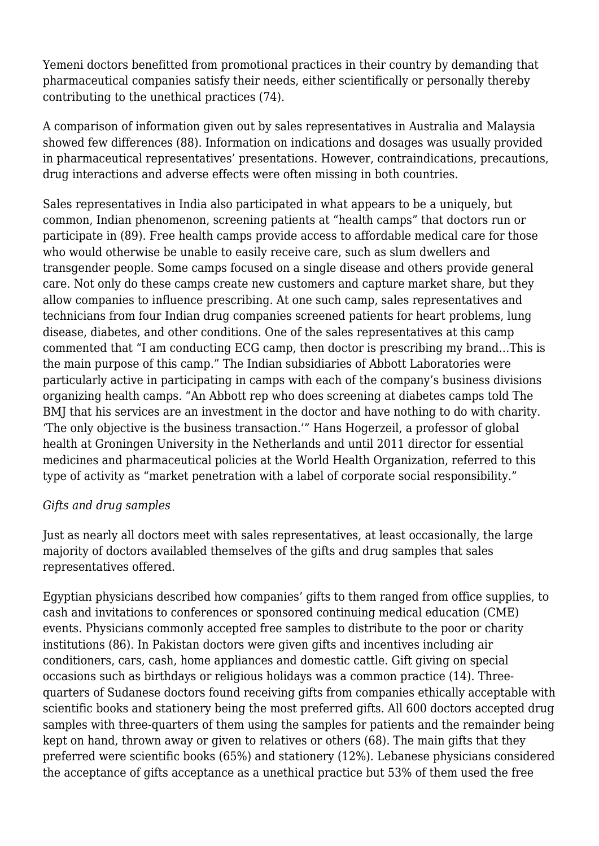Yemeni doctors benefitted from promotional practices in their country by demanding that pharmaceutical companies satisfy their needs, either scientifically or personally thereby contributing to the unethical practices (74).

A comparison of information given out by sales representatives in Australia and Malaysia showed few differences (88). Information on indications and dosages was usually provided in pharmaceutical representatives' presentations. However, contraindications, precautions, drug interactions and adverse effects were often missing in both countries.

Sales representatives in India also participated in what appears to be a uniquely, but common, Indian phenomenon, screening patients at "health camps" that doctors run or participate in (89). Free health camps provide access to affordable medical care for those who would otherwise be unable to easily receive care, such as slum dwellers and transgender people. Some camps focused on a single disease and others provide general care. Not only do these camps create new customers and capture market share, but they allow companies to influence prescribing. At one such camp, sales representatives and technicians from four Indian drug companies screened patients for heart problems, lung disease, diabetes, and other conditions. One of the sales representatives at this camp commented that "I am conducting ECG camp, then doctor is prescribing my brand…This is the main purpose of this camp." The Indian subsidiaries of Abbott Laboratories were particularly active in participating in camps with each of the company's business divisions organizing health camps. "An Abbott rep who does screening at diabetes camps told The BMJ that his services are an investment in the doctor and have nothing to do with charity. 'The only objective is the business transaction.'" Hans Hogerzeil, a professor of global health at Groningen University in the Netherlands and until 2011 director for essential medicines and pharmaceutical policies at the World Health Organization, referred to this type of activity as "market penetration with a label of corporate social responsibility."

## *Gifts and drug samples*

Just as nearly all doctors meet with sales representatives, at least occasionally, the large majority of doctors availabled themselves of the gifts and drug samples that sales representatives offered.

Egyptian physicians described how companies' gifts to them ranged from office supplies, to cash and invitations to conferences or sponsored continuing medical education (CME) events. Physicians commonly accepted free samples to distribute to the poor or charity institutions (86). In Pakistan doctors were given gifts and incentives including air conditioners, cars, cash, home appliances and domestic cattle. Gift giving on special occasions such as birthdays or religious holidays was a common practice (14). Threequarters of Sudanese doctors found receiving gifts from companies ethically acceptable with scientific books and stationery being the most preferred gifts. All 600 doctors accepted drug samples with three-quarters of them using the samples for patients and the remainder being kept on hand, thrown away or given to relatives or others (68). The main gifts that they preferred were scientific books (65%) and stationery (12%). Lebanese physicians considered the acceptance of gifts acceptance as a unethical practice but 53% of them used the free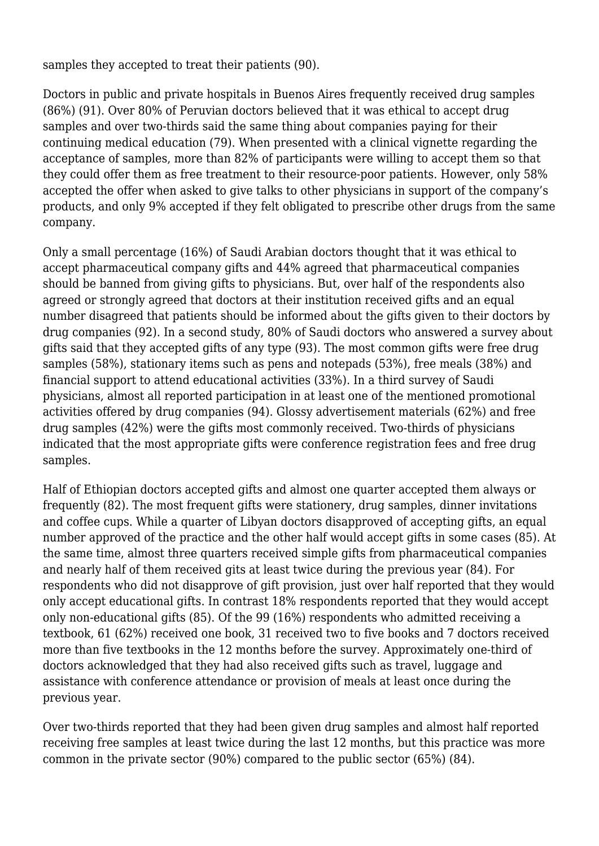samples they accepted to treat their patients (90).

Doctors in public and private hospitals in Buenos Aires frequently received drug samples (86%) (91). Over 80% of Peruvian doctors believed that it was ethical to accept drug samples and over two-thirds said the same thing about companies paying for their continuing medical education (79). When presented with a clinical vignette regarding the acceptance of samples, more than 82% of participants were willing to accept them so that they could offer them as free treatment to their resource-poor patients. However, only 58% accepted the offer when asked to give talks to other physicians in support of the company's products, and only 9% accepted if they felt obligated to prescribe other drugs from the same company.

Only a small percentage (16%) of Saudi Arabian doctors thought that it was ethical to accept pharmaceutical company gifts and 44% agreed that pharmaceutical companies should be banned from giving gifts to physicians. But, over half of the respondents also agreed or strongly agreed that doctors at their institution received gifts and an equal number disagreed that patients should be informed about the gifts given to their doctors by drug companies (92). In a second study, 80% of Saudi doctors who answered a survey about gifts said that they accepted gifts of any type (93). The most common gifts were free drug samples (58%), stationary items such as pens and notepads (53%), free meals (38%) and financial support to attend educational activities (33%). In a third survey of Saudi physicians, almost all reported participation in at least one of the mentioned promotional activities offered by drug companies (94). Glossy advertisement materials (62%) and free drug samples (42%) were the gifts most commonly received. Two-thirds of physicians indicated that the most appropriate gifts were conference registration fees and free drug samples.

Half of Ethiopian doctors accepted gifts and almost one quarter accepted them always or frequently (82). The most frequent gifts were stationery, drug samples, dinner invitations and coffee cups. While a quarter of Libyan doctors disapproved of accepting gifts, an equal number approved of the practice and the other half would accept gifts in some cases (85). At the same time, almost three quarters received simple gifts from pharmaceutical companies and nearly half of them received gits at least twice during the previous year (84). For respondents who did not disapprove of gift provision, just over half reported that they would only accept educational gifts. In contrast 18% respondents reported that they would accept only non-educational gifts (85). Of the 99 (16%) respondents who admitted receiving a textbook, 61 (62%) received one book, 31 received two to five books and 7 doctors received more than five textbooks in the 12 months before the survey. Approximately one-third of doctors acknowledged that they had also received gifts such as travel, luggage and assistance with conference attendance or provision of meals at least once during the previous year.

Over two-thirds reported that they had been given drug samples and almost half reported receiving free samples at least twice during the last 12 months, but this practice was more common in the private sector (90%) compared to the public sector (65%) (84).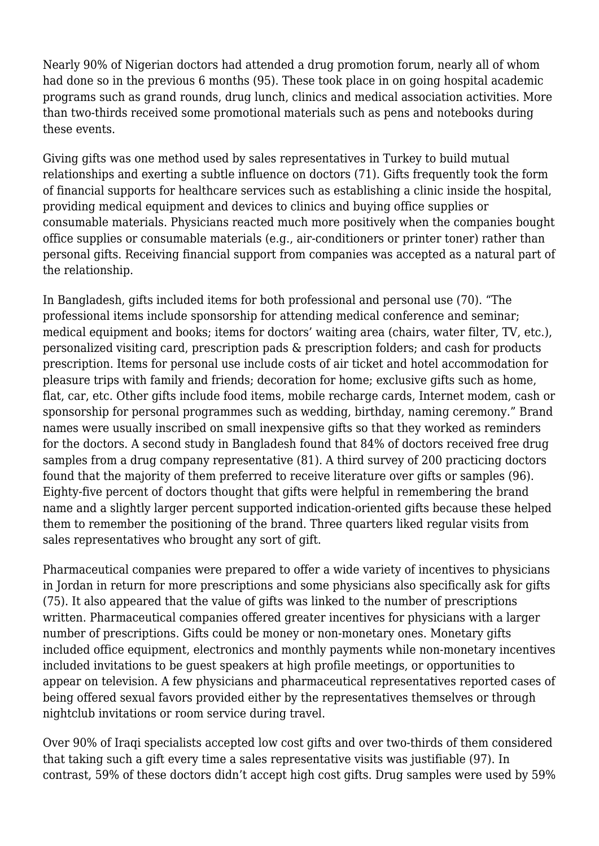Nearly 90% of Nigerian doctors had attended a drug promotion forum, nearly all of whom had done so in the previous 6 months (95). These took place in on going hospital academic programs such as grand rounds, drug lunch, clinics and medical association activities. More than two-thirds received some promotional materials such as pens and notebooks during these events.

Giving gifts was one method used by sales representatives in Turkey to build mutual relationships and exerting a subtle influence on doctors (71). Gifts frequently took the form of financial supports for healthcare services such as establishing a clinic inside the hospital, providing medical equipment and devices to clinics and buying office supplies or consumable materials. Physicians reacted much more positively when the companies bought office supplies or consumable materials (e.g., air-conditioners or printer toner) rather than personal gifts. Receiving financial support from companies was accepted as a natural part of the relationship.

In Bangladesh, gifts included items for both professional and personal use (70). "The professional items include sponsorship for attending medical conference and seminar; medical equipment and books; items for doctors' waiting area (chairs, water filter, TV, etc.), personalized visiting card, prescription pads & prescription folders; and cash for products prescription. Items for personal use include costs of air ticket and hotel accommodation for pleasure trips with family and friends; decoration for home; exclusive gifts such as home, flat, car, etc. Other gifts include food items, mobile recharge cards, Internet modem, cash or sponsorship for personal programmes such as wedding, birthday, naming ceremony." Brand names were usually inscribed on small inexpensive gifts so that they worked as reminders for the doctors. A second study in Bangladesh found that 84% of doctors received free drug samples from a drug company representative (81). A third survey of 200 practicing doctors found that the majority of them preferred to receive literature over gifts or samples (96). Eighty-five percent of doctors thought that gifts were helpful in remembering the brand name and a slightly larger percent supported indication-oriented gifts because these helped them to remember the positioning of the brand. Three quarters liked regular visits from sales representatives who brought any sort of gift.

Pharmaceutical companies were prepared to offer a wide variety of incentives to physicians in Jordan in return for more prescriptions and some physicians also specifically ask for gifts (75). It also appeared that the value of gifts was linked to the number of prescriptions written. Pharmaceutical companies offered greater incentives for physicians with a larger number of prescriptions. Gifts could be money or non-monetary ones. Monetary gifts included office equipment, electronics and monthly payments while non-monetary incentives included invitations to be guest speakers at high profile meetings, or opportunities to appear on television. A few physicians and pharmaceutical representatives reported cases of being offered sexual favors provided either by the representatives themselves or through nightclub invitations or room service during travel.

Over 90% of Iraqi specialists accepted low cost gifts and over two-thirds of them considered that taking such a gift every time a sales representative visits was justifiable (97). In contrast, 59% of these doctors didn't accept high cost gifts. Drug samples were used by 59%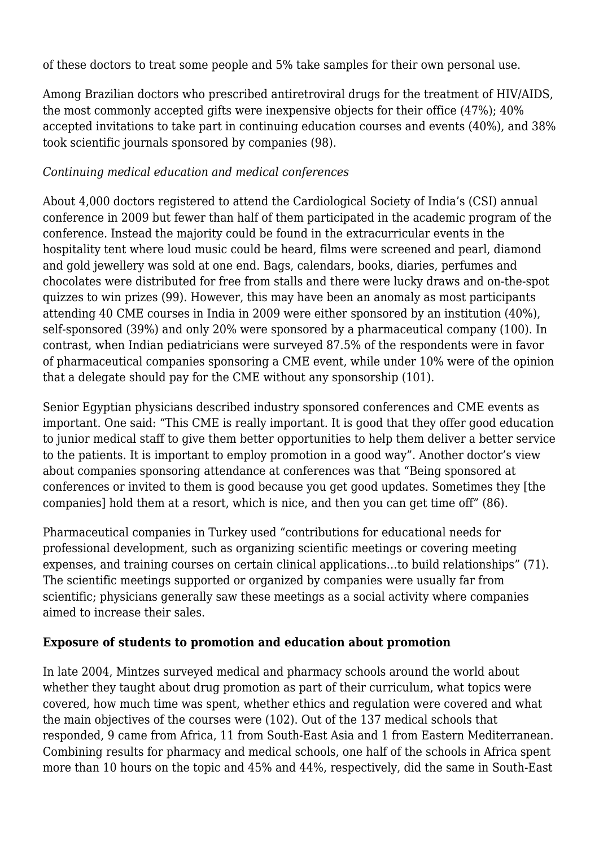of these doctors to treat some people and 5% take samples for their own personal use.

Among Brazilian doctors who prescribed antiretroviral drugs for the treatment of HIV/AIDS, the most commonly accepted gifts were inexpensive objects for their office (47%); 40% accepted invitations to take part in continuing education courses and events (40%), and 38% took scientific journals sponsored by companies (98).

## *Continuing medical education and medical conferences*

About 4,000 doctors registered to attend the Cardiological Society of India's (CSI) annual conference in 2009 but fewer than half of them participated in the academic program of the conference. Instead the majority could be found in the extracurricular events in the hospitality tent where loud music could be heard, films were screened and pearl, diamond and gold jewellery was sold at one end. Bags, calendars, books, diaries, perfumes and chocolates were distributed for free from stalls and there were lucky draws and on-the-spot quizzes to win prizes (99). However, this may have been an anomaly as most participants attending 40 CME courses in India in 2009 were either sponsored by an institution (40%), self-sponsored (39%) and only 20% were sponsored by a pharmaceutical company (100). In contrast, when Indian pediatricians were surveyed 87.5% of the respondents were in favor of pharmaceutical companies sponsoring a CME event, while under 10% were of the opinion that a delegate should pay for the CME without any sponsorship (101).

Senior Egyptian physicians described industry sponsored conferences and CME events as important. One said: "This CME is really important. It is good that they offer good education to junior medical staff to give them better opportunities to help them deliver a better service to the patients. It is important to employ promotion in a good way". Another doctor's view about companies sponsoring attendance at conferences was that "Being sponsored at conferences or invited to them is good because you get good updates. Sometimes they [the companies] hold them at a resort, which is nice, and then you can get time off" (86).

Pharmaceutical companies in Turkey used "contributions for educational needs for professional development, such as organizing scientific meetings or covering meeting expenses, and training courses on certain clinical applications…to build relationships" (71). The scientific meetings supported or organized by companies were usually far from scientific; physicians generally saw these meetings as a social activity where companies aimed to increase their sales.

# **Exposure of students to promotion and education about promotion**

In late 2004, Mintzes surveyed medical and pharmacy schools around the world about whether they taught about drug promotion as part of their curriculum, what topics were covered, how much time was spent, whether ethics and regulation were covered and what the main objectives of the courses were (102). Out of the 137 medical schools that responded, 9 came from Africa, 11 from South-East Asia and 1 from Eastern Mediterranean. Combining results for pharmacy and medical schools, one half of the schools in Africa spent more than 10 hours on the topic and 45% and 44%, respectively, did the same in South-East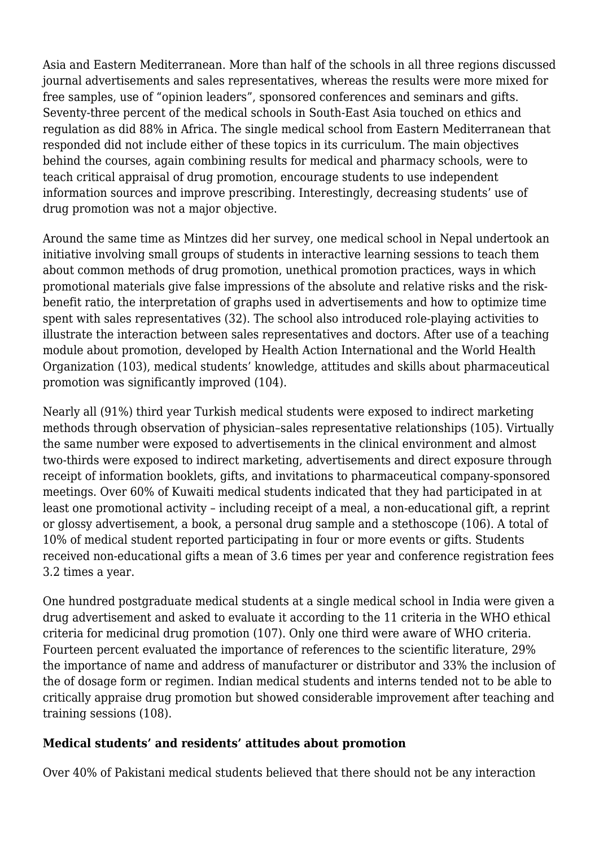Asia and Eastern Mediterranean. More than half of the schools in all three regions discussed journal advertisements and sales representatives, whereas the results were more mixed for free samples, use of "opinion leaders", sponsored conferences and seminars and gifts. Seventy-three percent of the medical schools in South-East Asia touched on ethics and regulation as did 88% in Africa. The single medical school from Eastern Mediterranean that responded did not include either of these topics in its curriculum. The main objectives behind the courses, again combining results for medical and pharmacy schools, were to teach critical appraisal of drug promotion, encourage students to use independent information sources and improve prescribing. Interestingly, decreasing students' use of drug promotion was not a major objective.

Around the same time as Mintzes did her survey, one medical school in Nepal undertook an initiative involving small groups of students in interactive learning sessions to teach them about common methods of drug promotion, unethical promotion practices, ways in which promotional materials give false impressions of the absolute and relative risks and the riskbenefit ratio, the interpretation of graphs used in advertisements and how to optimize time spent with sales representatives (32). The school also introduced role-playing activities to illustrate the interaction between sales representatives and doctors. After use of a teaching module about promotion, developed by Health Action International and the World Health Organization (103), medical students' knowledge, attitudes and skills about pharmaceutical promotion was significantly improved (104).

Nearly all (91%) third year Turkish medical students were exposed to indirect marketing methods through observation of physician–sales representative relationships (105). Virtually the same number were exposed to advertisements in the clinical environment and almost two-thirds were exposed to indirect marketing, advertisements and direct exposure through receipt of information booklets, gifts, and invitations to pharmaceutical company-sponsored meetings. Over 60% of Kuwaiti medical students indicated that they had participated in at least one promotional activity – including receipt of a meal, a non-educational gift, a reprint or glossy advertisement, a book, a personal drug sample and a stethoscope (106). A total of 10% of medical student reported participating in four or more events or gifts. Students received non-educational gifts a mean of 3.6 times per year and conference registration fees 3.2 times a year.

One hundred postgraduate medical students at a single medical school in India were given a drug advertisement and asked to evaluate it according to the 11 criteria in the WHO ethical criteria for medicinal drug promotion (107). Only one third were aware of WHO criteria. Fourteen percent evaluated the importance of references to the scientific literature, 29% the importance of name and address of manufacturer or distributor and 33% the inclusion of the of dosage form or regimen. Indian medical students and interns tended not to be able to critically appraise drug promotion but showed considerable improvement after teaching and training sessions (108).

# **Medical students' and residents' attitudes about promotion**

Over 40% of Pakistani medical students believed that there should not be any interaction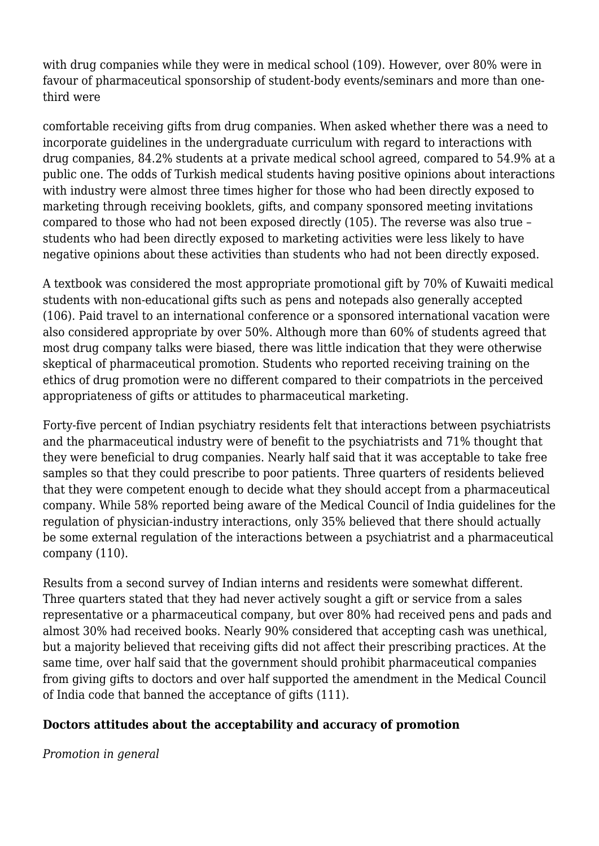with drug companies while they were in medical school (109). However, over 80% were in favour of pharmaceutical sponsorship of student-body events/seminars and more than onethird were

comfortable receiving gifts from drug companies. When asked whether there was a need to incorporate guidelines in the undergraduate curriculum with regard to interactions with drug companies, 84.2% students at a private medical school agreed, compared to 54.9% at a public one. The odds of Turkish medical students having positive opinions about interactions with industry were almost three times higher for those who had been directly exposed to marketing through receiving booklets, gifts, and company sponsored meeting invitations compared to those who had not been exposed directly (105). The reverse was also true – students who had been directly exposed to marketing activities were less likely to have negative opinions about these activities than students who had not been directly exposed.

A textbook was considered the most appropriate promotional gift by 70% of Kuwaiti medical students with non-educational gifts such as pens and notepads also generally accepted (106). Paid travel to an international conference or a sponsored international vacation were also considered appropriate by over 50%. Although more than 60% of students agreed that most drug company talks were biased, there was little indication that they were otherwise skeptical of pharmaceutical promotion. Students who reported receiving training on the ethics of drug promotion were no different compared to their compatriots in the perceived appropriateness of gifts or attitudes to pharmaceutical marketing.

Forty-five percent of Indian psychiatry residents felt that interactions between psychiatrists and the pharmaceutical industry were of benefit to the psychiatrists and 71% thought that they were beneficial to drug companies. Nearly half said that it was acceptable to take free samples so that they could prescribe to poor patients. Three quarters of residents believed that they were competent enough to decide what they should accept from a pharmaceutical company. While 58% reported being aware of the Medical Council of India guidelines for the regulation of physician-industry interactions, only 35% believed that there should actually be some external regulation of the interactions between a psychiatrist and a pharmaceutical company (110).

Results from a second survey of Indian interns and residents were somewhat different. Three quarters stated that they had never actively sought a gift or service from a sales representative or a pharmaceutical company, but over 80% had received pens and pads and almost 30% had received books. Nearly 90% considered that accepting cash was unethical, but a majority believed that receiving gifts did not affect their prescribing practices. At the same time, over half said that the government should prohibit pharmaceutical companies from giving gifts to doctors and over half supported the amendment in the Medical Council of India code that banned the acceptance of gifts (111).

# **Doctors attitudes about the acceptability and accuracy of promotion**

*Promotion in general*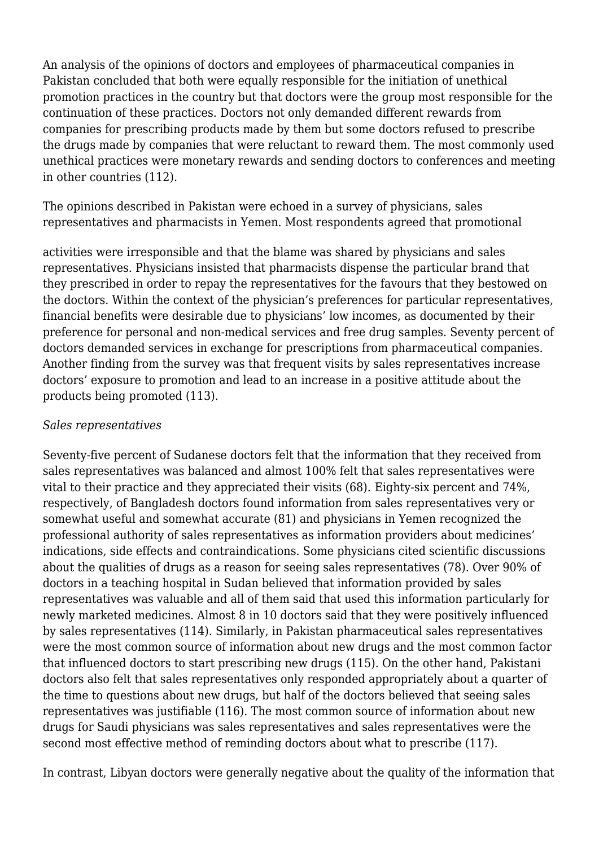An analysis of the opinions of doctors and employees of pharmaceutical companies in Pakistan concluded that both were equally responsible for the initiation of unethical promotion practices in the country but that doctors were the group most responsible for the continuation of these practices. Doctors not only demanded different rewards from companies for prescribing products made by them but some doctors refused to prescribe the drugs made by companies that were reluctant to reward them. The most commonly used unethical practices were monetary rewards and sending doctors to conferences and meeting in other countries (112).

The opinions described in Pakistan were echoed in a survey of physicians, sales representatives and pharmacists in Yemen. Most respondents agreed that promotional

activities were irresponsible and that the blame was shared by physicians and sales representatives. Physicians insisted that pharmacists dispense the particular brand that they prescribed in order to repay the representatives for the favours that they bestowed on the doctors. Within the context of the physician's preferences for particular representatives, financial benefits were desirable due to physicians' low incomes, as documented by their preference for personal and non-medical services and free drug samples. Seventy percent of doctors demanded services in exchange for prescriptions from pharmaceutical companies. Another finding from the survey was that frequent visits by sales representatives increase doctors' exposure to promotion and lead to an increase in a positive attitude about the products being promoted (113).

## *Sales representatives*

Seventy-five percent of Sudanese doctors felt that the information that they received from sales representatives was balanced and almost 100% felt that sales representatives were vital to their practice and they appreciated their visits (68). Eighty-six percent and 74%, respectively, of Bangladesh doctors found information from sales representatives very or somewhat useful and somewhat accurate (81) and physicians in Yemen recognized the professional authority of sales representatives as information providers about medicines' indications, side effects and contraindications. Some physicians cited scientific discussions about the qualities of drugs as a reason for seeing sales representatives (78). Over 90% of doctors in a teaching hospital in Sudan believed that information provided by sales representatives was valuable and all of them said that used this information particularly for newly marketed medicines. Almost 8 in 10 doctors said that they were positively influenced by sales representatives (114). Similarly, in Pakistan pharmaceutical sales representatives were the most common source of information about new drugs and the most common factor that influenced doctors to start prescribing new drugs (115). On the other hand, Pakistani doctors also felt that sales representatives only responded appropriately about a quarter of the time to questions about new drugs, but half of the doctors believed that seeing sales representatives was justifiable (116). The most common source of information about new drugs for Saudi physicians was sales representatives and sales representatives were the second most effective method of reminding doctors about what to prescribe (117).

In contrast, Libyan doctors were generally negative about the quality of the information that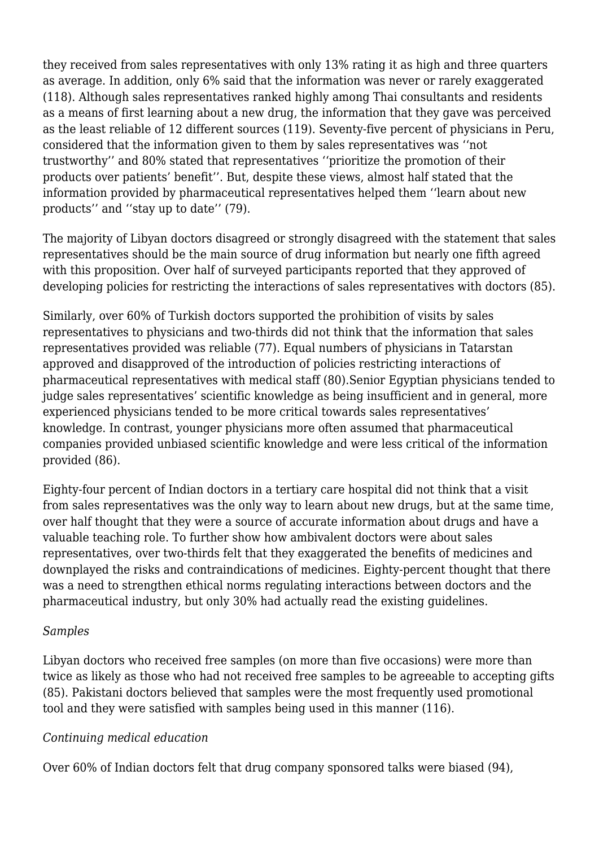they received from sales representatives with only 13% rating it as high and three quarters as average. In addition, only 6% said that the information was never or rarely exaggerated (118). Although sales representatives ranked highly among Thai consultants and residents as a means of first learning about a new drug, the information that they gave was perceived as the least reliable of 12 different sources (119). Seventy-five percent of physicians in Peru, considered that the information given to them by sales representatives was ''not trustworthy'' and 80% stated that representatives ''prioritize the promotion of their products over patients' benefit''. But, despite these views, almost half stated that the information provided by pharmaceutical representatives helped them ''learn about new products'' and ''stay up to date'' (79).

The majority of Libyan doctors disagreed or strongly disagreed with the statement that sales representatives should be the main source of drug information but nearly one fifth agreed with this proposition. Over half of surveyed participants reported that they approved of developing policies for restricting the interactions of sales representatives with doctors (85).

Similarly, over 60% of Turkish doctors supported the prohibition of visits by sales representatives to physicians and two-thirds did not think that the information that sales representatives provided was reliable (77). Equal numbers of physicians in Tatarstan approved and disapproved of the introduction of policies restricting interactions of pharmaceutical representatives with medical staff (80).Senior Egyptian physicians tended to judge sales representatives' scientific knowledge as being insufficient and in general, more experienced physicians tended to be more critical towards sales representatives' knowledge. In contrast, younger physicians more often assumed that pharmaceutical companies provided unbiased scientific knowledge and were less critical of the information provided (86).

Eighty-four percent of Indian doctors in a tertiary care hospital did not think that a visit from sales representatives was the only way to learn about new drugs, but at the same time, over half thought that they were a source of accurate information about drugs and have a valuable teaching role. To further show how ambivalent doctors were about sales representatives, over two-thirds felt that they exaggerated the benefits of medicines and downplayed the risks and contraindications of medicines. Eighty-percent thought that there was a need to strengthen ethical norms regulating interactions between doctors and the pharmaceutical industry, but only 30% had actually read the existing guidelines.

## *Samples*

Libyan doctors who received free samples (on more than five occasions) were more than twice as likely as those who had not received free samples to be agreeable to accepting gifts (85). Pakistani doctors believed that samples were the most frequently used promotional tool and they were satisfied with samples being used in this manner (116).

## *Continuing medical education*

Over 60% of Indian doctors felt that drug company sponsored talks were biased (94),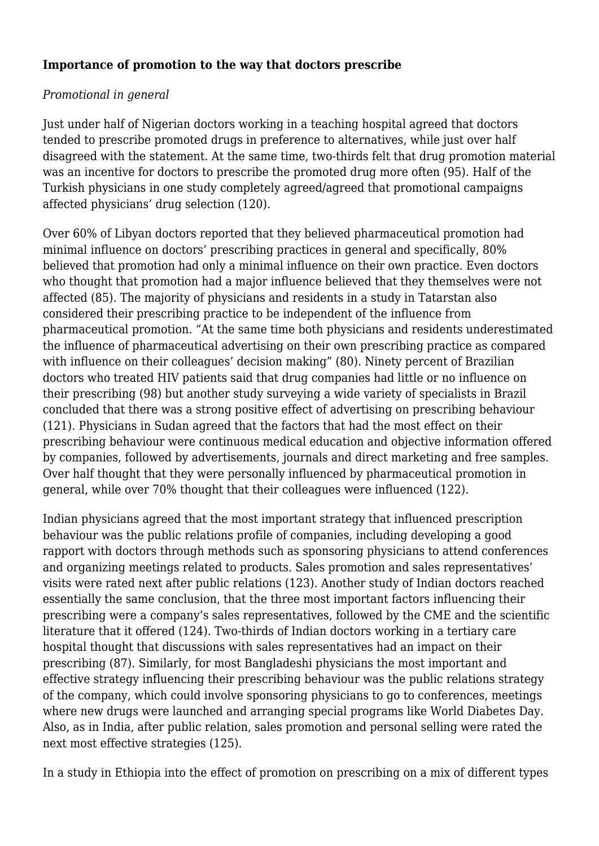## **Importance of promotion to the way that doctors prescribe**

## *Promotional in general*

Just under half of Nigerian doctors working in a teaching hospital agreed that doctors tended to prescribe promoted drugs in preference to alternatives, while just over half disagreed with the statement. At the same time, two-thirds felt that drug promotion material was an incentive for doctors to prescribe the promoted drug more often (95). Half of the Turkish physicians in one study completely agreed/agreed that promotional campaigns affected physicians' drug selection (120).

Over 60% of Libyan doctors reported that they believed pharmaceutical promotion had minimal influence on doctors' prescribing practices in general and specifically, 80% believed that promotion had only a minimal influence on their own practice. Even doctors who thought that promotion had a major influence believed that they themselves were not affected (85). The majority of physicians and residents in a study in Tatarstan also considered their prescribing practice to be independent of the influence from pharmaceutical promotion. "At the same time both physicians and residents underestimated the influence of pharmaceutical advertising on their own prescribing practice as compared with influence on their colleagues' decision making" (80). Ninety percent of Brazilian doctors who treated HIV patients said that drug companies had little or no influence on their prescribing (98) but another study surveying a wide variety of specialists in Brazil concluded that there was a strong positive effect of advertising on prescribing behaviour (121). Physicians in Sudan agreed that the factors that had the most effect on their prescribing behaviour were continuous medical education and objective information offered by companies, followed by advertisements, journals and direct marketing and free samples. Over half thought that they were personally influenced by pharmaceutical promotion in general, while over 70% thought that their colleagues were influenced (122).

Indian physicians agreed that the most important strategy that influenced prescription behaviour was the public relations profile of companies, including developing a good rapport with doctors through methods such as sponsoring physicians to attend conferences and organizing meetings related to products. Sales promotion and sales representatives' visits were rated next after public relations (123). Another study of Indian doctors reached essentially the same conclusion, that the three most important factors influencing their prescribing were a company's sales representatives, followed by the CME and the scientific literature that it offered (124). Two-thirds of Indian doctors working in a tertiary care hospital thought that discussions with sales representatives had an impact on their prescribing (87). Similarly, for most Bangladeshi physicians the most important and effective strategy influencing their prescribing behaviour was the public relations strategy of the company, which could involve sponsoring physicians to go to conferences, meetings where new drugs were launched and arranging special programs like World Diabetes Day. Also, as in India, after public relation, sales promotion and personal selling were rated the next most effective strategies (125).

In a study in Ethiopia into the effect of promotion on prescribing on a mix of different types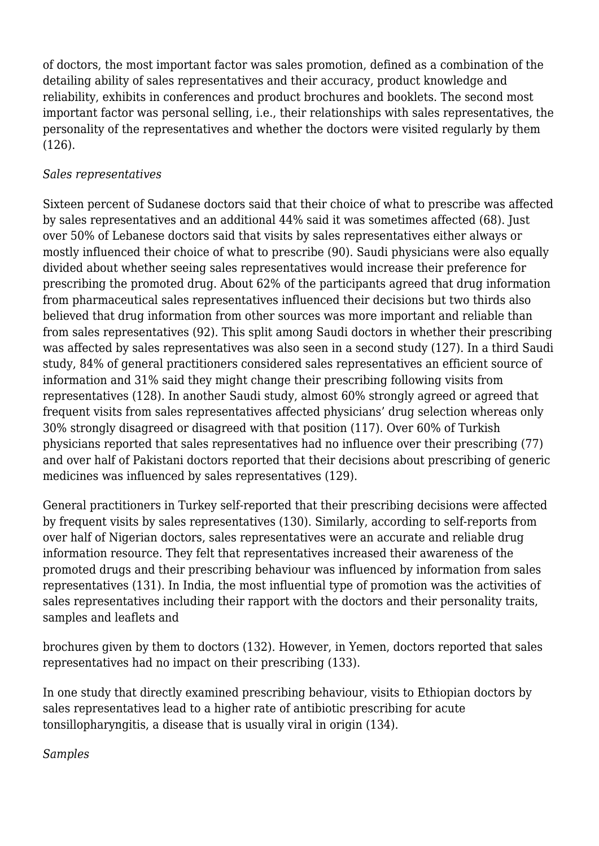of doctors, the most important factor was sales promotion, defined as a combination of the detailing ability of sales representatives and their accuracy, product knowledge and reliability, exhibits in conferences and product brochures and booklets. The second most important factor was personal selling, i.e., their relationships with sales representatives, the personality of the representatives and whether the doctors were visited regularly by them (126).

## *Sales representatives*

Sixteen percent of Sudanese doctors said that their choice of what to prescribe was affected by sales representatives and an additional 44% said it was sometimes affected (68). Just over 50% of Lebanese doctors said that visits by sales representatives either always or mostly influenced their choice of what to prescribe (90). Saudi physicians were also equally divided about whether seeing sales representatives would increase their preference for prescribing the promoted drug. About 62% of the participants agreed that drug information from pharmaceutical sales representatives influenced their decisions but two thirds also believed that drug information from other sources was more important and reliable than from sales representatives (92). This split among Saudi doctors in whether their prescribing was affected by sales representatives was also seen in a second study (127). In a third Saudi study, 84% of general practitioners considered sales representatives an efficient source of information and 31% said they might change their prescribing following visits from representatives (128). In another Saudi study, almost 60% strongly agreed or agreed that frequent visits from sales representatives affected physicians' drug selection whereas only 30% strongly disagreed or disagreed with that position (117). Over 60% of Turkish physicians reported that sales representatives had no influence over their prescribing (77) and over half of Pakistani doctors reported that their decisions about prescribing of generic medicines was influenced by sales representatives (129).

General practitioners in Turkey self-reported that their prescribing decisions were affected by frequent visits by sales representatives (130). Similarly, according to self-reports from over half of Nigerian doctors, sales representatives were an accurate and reliable drug information resource. They felt that representatives increased their awareness of the promoted drugs and their prescribing behaviour was influenced by information from sales representatives (131). In India, the most influential type of promotion was the activities of sales representatives including their rapport with the doctors and their personality traits, samples and leaflets and

brochures given by them to doctors (132). However, in Yemen, doctors reported that sales representatives had no impact on their prescribing (133).

In one study that directly examined prescribing behaviour, visits to Ethiopian doctors by sales representatives lead to a higher rate of antibiotic prescribing for acute tonsillopharyngitis, a disease that is usually viral in origin (134).

*Samples*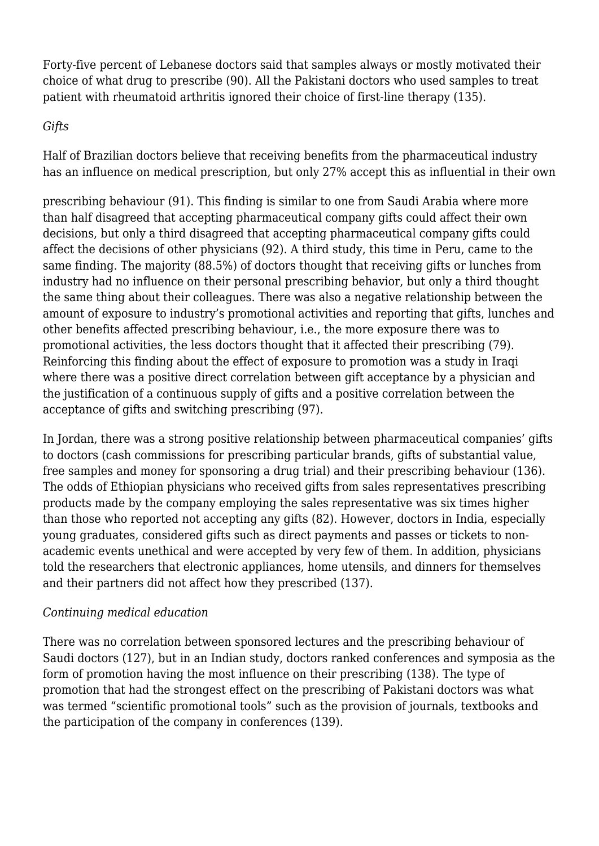Forty-five percent of Lebanese doctors said that samples always or mostly motivated their choice of what drug to prescribe (90). All the Pakistani doctors who used samples to treat patient with rheumatoid arthritis ignored their choice of first-line therapy (135).

# *Gifts*

Half of Brazilian doctors believe that receiving benefits from the pharmaceutical industry has an influence on medical prescription, but only 27% accept this as influential in their own

prescribing behaviour (91). This finding is similar to one from Saudi Arabia where more than half disagreed that accepting pharmaceutical company gifts could affect their own decisions, but only a third disagreed that accepting pharmaceutical company gifts could affect the decisions of other physicians (92). A third study, this time in Peru, came to the same finding. The majority (88.5%) of doctors thought that receiving gifts or lunches from industry had no influence on their personal prescribing behavior, but only a third thought the same thing about their colleagues. There was also a negative relationship between the amount of exposure to industry's promotional activities and reporting that gifts, lunches and other benefits affected prescribing behaviour, i.e., the more exposure there was to promotional activities, the less doctors thought that it affected their prescribing (79). Reinforcing this finding about the effect of exposure to promotion was a study in Iraqi where there was a positive direct correlation between gift acceptance by a physician and the justification of a continuous supply of gifts and a positive correlation between the acceptance of gifts and switching prescribing (97).

In Jordan, there was a strong positive relationship between pharmaceutical companies' gifts to doctors (cash commissions for prescribing particular brands, gifts of substantial value, free samples and money for sponsoring a drug trial) and their prescribing behaviour (136). The odds of Ethiopian physicians who received gifts from sales representatives prescribing products made by the company employing the sales representative was six times higher than those who reported not accepting any gifts (82). However, doctors in India, especially young graduates, considered gifts such as direct payments and passes or tickets to nonacademic events unethical and were accepted by very few of them. In addition, physicians told the researchers that electronic appliances, home utensils, and dinners for themselves and their partners did not affect how they prescribed (137).

# *Continuing medical education*

There was no correlation between sponsored lectures and the prescribing behaviour of Saudi doctors (127), but in an Indian study, doctors ranked conferences and symposia as the form of promotion having the most influence on their prescribing (138). The type of promotion that had the strongest effect on the prescribing of Pakistani doctors was what was termed "scientific promotional tools" such as the provision of journals, textbooks and the participation of the company in conferences (139).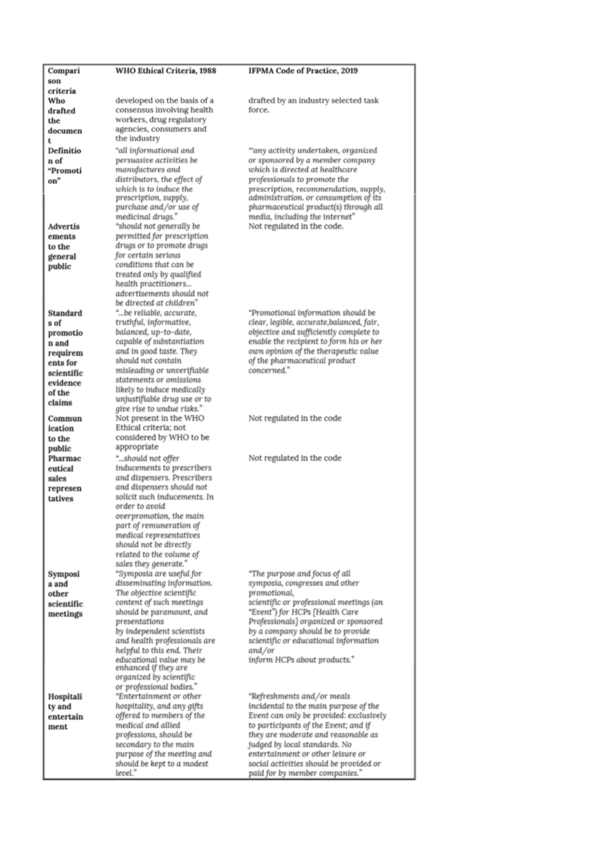| Compari         | WHO Ethical Criteria, 1988                               | IFPMA Code of Practice, 2019                                                |
|-----------------|----------------------------------------------------------|-----------------------------------------------------------------------------|
| son             |                                                          |                                                                             |
| criteria        |                                                          |                                                                             |
| Who             | developed on the basis of a                              | drafted by an industry selected task                                        |
| drafted         | consensus involving health                               | force.                                                                      |
| the             | workers, drug regulatory<br>agencies, consumers and      |                                                                             |
| documen         | the industry                                             |                                                                             |
| t<br>Definitio  |                                                          |                                                                             |
| n of            | "all informational and<br>persuasive activities be       | "any activity undertaken, organized<br>or sponsored by a member company     |
| "Promoti        | manufactures and                                         | which is directed at healthcare                                             |
| on"             | distributors, the effect of                              | professionals to promote the                                                |
|                 | which is to induce the                                   | prescription, recommendation, supply,                                       |
|                 | prescription, supply,                                    | administration. or consumption of its                                       |
|                 | purchase and/or use of                                   | pharmaceutical product(s) through all                                       |
|                 | medicinal drugs."                                        | media, including the internet"                                              |
| <b>Advertis</b> | "should not generally be                                 | Not regulated in the code.                                                  |
| ements          | permitted for prescription                               |                                                                             |
| to the          | drugs or to promote drugs<br>for certain serious         |                                                                             |
| general         | conditions that can be                                   |                                                                             |
| public          | treated only by qualified                                |                                                                             |
|                 | health practitioners                                     |                                                                             |
|                 | advertisements should not                                |                                                                             |
|                 | be directed at children"                                 |                                                                             |
| Standard        | "be reliable, accurate,                                  | "Promotional information should be                                          |
| s of            | truthful, informative,                                   | clear, legible, accurate, balanced, fair,                                   |
| promotio        | balanced, up-to-date,                                    | objective and sufficiently complete to                                      |
| n and           | capable of substantiation                                | enable the recipient to form his or her                                     |
| requirem        | and in good taste. They                                  | own opinion of the therapeutic value                                        |
| ents for        | should not contain                                       | of the pharmaceutical product<br>concerned."                                |
| scientific      | misleading or unverifiable<br>statements or omissions    |                                                                             |
| evidence        | likely to induce medically                               |                                                                             |
| of the          | unjustifiable drug use or to                             |                                                                             |
| claims          | give rise to undue risks."                               |                                                                             |
| Commun          | Not present in the WHO                                   | Not regulated in the code                                                   |
| ication         | Ethical criteria; not                                    |                                                                             |
| to the          | considered by WHO to be                                  |                                                                             |
| public          | appropriate                                              |                                                                             |
| Pharmac         | "should not offer                                        | Not regulated in the code                                                   |
| eutical         | inducements to prescribers                               |                                                                             |
| sales           | and dispensers. Prescribers<br>and dispensers should not |                                                                             |
| represen        | solicit such inducements. In                             |                                                                             |
| tatives         | order to avoid                                           |                                                                             |
|                 | overpromotion, the main                                  |                                                                             |
|                 | part of remuneration of                                  |                                                                             |
|                 | medical representatives                                  |                                                                             |
|                 | should not be directly                                   |                                                                             |
|                 | related to the volume of                                 |                                                                             |
|                 | sales they generate."                                    |                                                                             |
| Symposi         |                                                          |                                                                             |
|                 | "Symposia are useful for                                 | "The purpose and focus of all                                               |
| a and           | disseminating information.                               | symposia, congresses and other                                              |
| other           | The objective scientific                                 | promotional,                                                                |
| scientific      | content of such meetings                                 | scientific or professional meetings (an                                     |
| meetings        | should be paramount, and<br>presentations                | "Event") for HCPs [Health Care                                              |
|                 | by independent scientists                                | Professionals] organized or sponsored<br>by a company should be to provide. |
|                 | and health professionals are                             | scientific or educational information                                       |
|                 | helpful to this end. Their                               | and/or                                                                      |
|                 | educational value may be                                 | inform HCPs about products."                                                |
|                 | enhanced if they are                                     |                                                                             |
|                 | organized by scientific                                  |                                                                             |
|                 | or professional bodies."                                 |                                                                             |
| Hospitali       | "Entertainment or other                                  | "Refreshments and/or meals                                                  |
| ty and          | hospitality, and any gifts                               | incidental to the main purpose of the                                       |
| entertain       | offered to members of the                                | Event can only be provided: exclusively                                     |
| ment            | medical and allied                                       | to participants of the Event; and if                                        |
|                 | professions, should be                                   | they are moderate and reasonable as                                         |
|                 | secondary to the main<br>purpose of the meeting and      | judged by local standards. No<br>entertainment or other leisure or          |
|                 | should be kept to a modest<br>level."                    | social activities should be provided or                                     |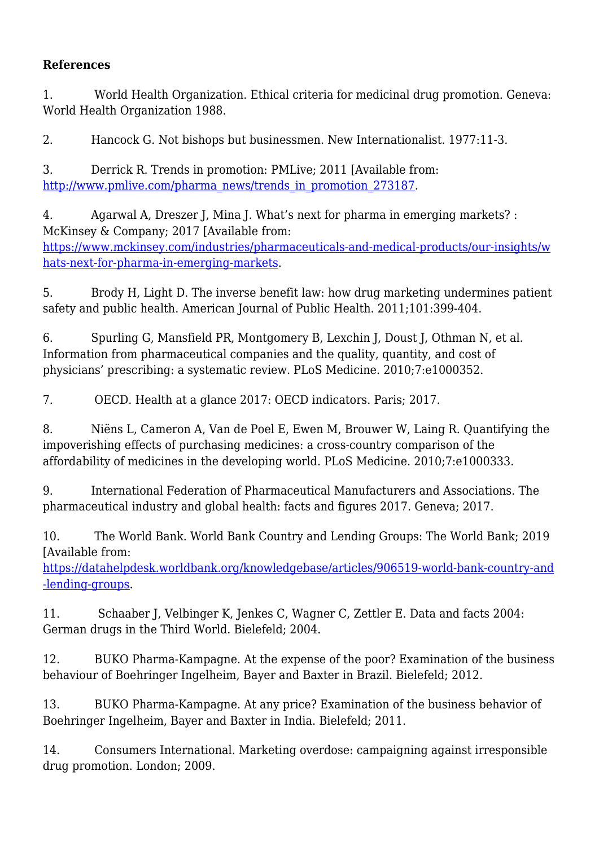# **References**

1. World Health Organization. Ethical criteria for medicinal drug promotion. Geneva: World Health Organization 1988.

2. Hancock G. Not bishops but businessmen. New Internationalist. 1977:11-3.

3. Derrick R. Trends in promotion: PMLive; 2011 [Available from: [http://www.pmlive.com/pharma\\_news/trends\\_in\\_promotion\\_273187](http://www.pmlive.com/pharma_news/trends_in_promotion_273187).

4. Agarwal A, Dreszer J, Mina J. What's next for pharma in emerging markets? : McKinsey & Company; 2017 [Available from: [https://www.mckinsey.com/industries/pharmaceuticals-and-medical-products/our-insights/w](https://www.mckinsey.com/industries/pharmaceuticals-and-medical-products/our-insights/whats-next-for-pharma-in-emerging-markets) [hats-next-for-pharma-in-emerging-markets.](https://www.mckinsey.com/industries/pharmaceuticals-and-medical-products/our-insights/whats-next-for-pharma-in-emerging-markets)

5. Brody H, Light D. The inverse benefit law: how drug marketing undermines patient safety and public health. American Journal of Public Health. 2011;101:399-404.

6. Spurling G, Mansfield PR, Montgomery B, Lexchin J, Doust J, Othman N, et al. Information from pharmaceutical companies and the quality, quantity, and cost of physicians' prescribing: a systematic review. PLoS Medicine. 2010;7:e1000352.

7. OECD. Health at a glance 2017: OECD indicators. Paris; 2017.

8. Niëns L, Cameron A, Van de Poel E, Ewen M, Brouwer W, Laing R. Quantifying the impoverishing effects of purchasing medicines: a cross-country comparison of the affordability of medicines in the developing world. PLoS Medicine. 2010;7:e1000333.

9. International Federation of Pharmaceutical Manufacturers and Associations. The pharmaceutical industry and global health: facts and figures 2017. Geneva; 2017.

10. The World Bank. World Bank Country and Lending Groups: The World Bank; 2019 [Available from:

[https://datahelpdesk.worldbank.org/knowledgebase/articles/906519-world-bank-country-and](https://datahelpdesk.worldbank.org/knowledgebase/articles/906519-world-bank-country-and-lending-groups) [-lending-groups.](https://datahelpdesk.worldbank.org/knowledgebase/articles/906519-world-bank-country-and-lending-groups)

11. Schaaber J, Velbinger K, Jenkes C, Wagner C, Zettler E. Data and facts 2004: German drugs in the Third World. Bielefeld; 2004.

12. BUKO Pharma-Kampagne. At the expense of the poor? Examination of the business behaviour of Boehringer Ingelheim, Bayer and Baxter in Brazil. Bielefeld; 2012.

13. BUKO Pharma-Kampagne. At any price? Examination of the business behavior of Boehringer Ingelheim, Bayer and Baxter in India. Bielefeld; 2011.

14. Consumers International. Marketing overdose: campaigning against irresponsible drug promotion. London; 2009.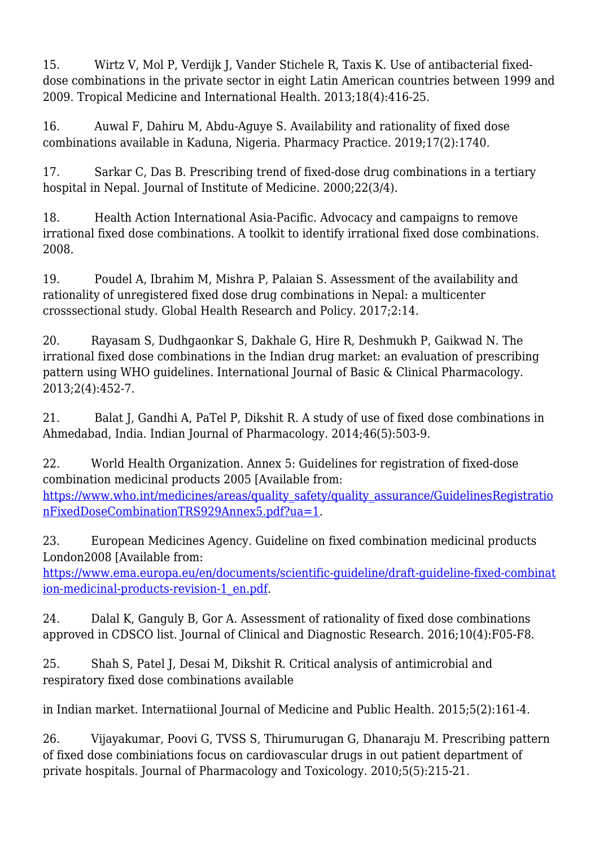15. Wirtz V, Mol P, Verdijk J, Vander Stichele R, Taxis K. Use of antibacterial fixeddose combinations in the private sector in eight Latin American countries between 1999 and 2009. Tropical Medicine and International Health. 2013;18(4):416-25.

16. Auwal F, Dahiru M, Abdu-Aguye S. Availability and rationality of fixed dose combinations available in Kaduna, Nigeria. Pharmacy Practice. 2019;17(2):1740.

17. Sarkar C, Das B. Prescribing trend of fixed-dose drug combinations in a tertiary hospital in Nepal. Journal of Institute of Medicine. 2000;22(3/4).

18. Health Action International Asia-Pacific. Advocacy and campaigns to remove irrational fixed dose combinations. A toolkit to identify irrational fixed dose combinations. 2008.

19. Poudel A, Ibrahim M, Mishra P, Palaian S. Assessment of the availability and rationality of unregistered fixed dose drug combinations in Nepal: a multicenter crosssectional study. Global Health Research and Policy. 2017;2:14.

20. Rayasam S, Dudhgaonkar S, Dakhale G, Hire R, Deshmukh P, Gaikwad N. The irrational fixed dose combinations in the Indian drug market: an evaluation of prescribing pattern using WHO guidelines. International Journal of Basic & Clinical Pharmacology. 2013;2(4):452-7.

21. Balat J, Gandhi A, PaTel P, Dikshit R. A study of use of fixed dose combinations in Ahmedabad, India. Indian Journal of Pharmacology. 2014;46(5):503-9.

22. World Health Organization. Annex 5: Guidelines for registration of fixed-dose combination medicinal products 2005 [Available from: [https://www.who.int/medicines/areas/quality\\_safety/quality\\_assurance/GuidelinesRegistratio](https://www.who.int/medicines/areas/quality_safety/quality_assurance/GuidelinesRegistrationFixedDoseCombinationTRS929Annex5.pdf?ua=1) [nFixedDoseCombinationTRS929Annex5.pdf?ua=1.](https://www.who.int/medicines/areas/quality_safety/quality_assurance/GuidelinesRegistrationFixedDoseCombinationTRS929Annex5.pdf?ua=1)

23. European Medicines Agency. Guideline on fixed combination medicinal products London2008 [Available from:

[https://www.ema.europa.eu/en/documents/scientific-guideline/draft-guideline-fixed-combinat](https://www.ema.europa.eu/en/documents/scientific-guideline/draft-guideline-fixed-combination-medicinal-products-revision-1_en.pdf) [ion-medicinal-products-revision-1\\_en.pdf](https://www.ema.europa.eu/en/documents/scientific-guideline/draft-guideline-fixed-combination-medicinal-products-revision-1_en.pdf).

24. Dalal K, Ganguly B, Gor A. Assessment of rationality of fixed dose combinations approved in CDSCO list. Journal of Clinical and Diagnostic Research. 2016;10(4):F05-F8.

25. Shah S, Patel J, Desai M, Dikshit R. Critical analysis of antimicrobial and respiratory fixed dose combinations available

in Indian market. Internatiional Journal of Medicine and Public Health. 2015;5(2):161-4.

26. Vijayakumar, Poovi G, TVSS S, Thirumurugan G, Dhanaraju M. Prescribing pattern of fixed dose combiniations focus on cardiovascular drugs in out patient department of private hospitals. Journal of Pharmacology and Toxicology. 2010;5(5):215-21.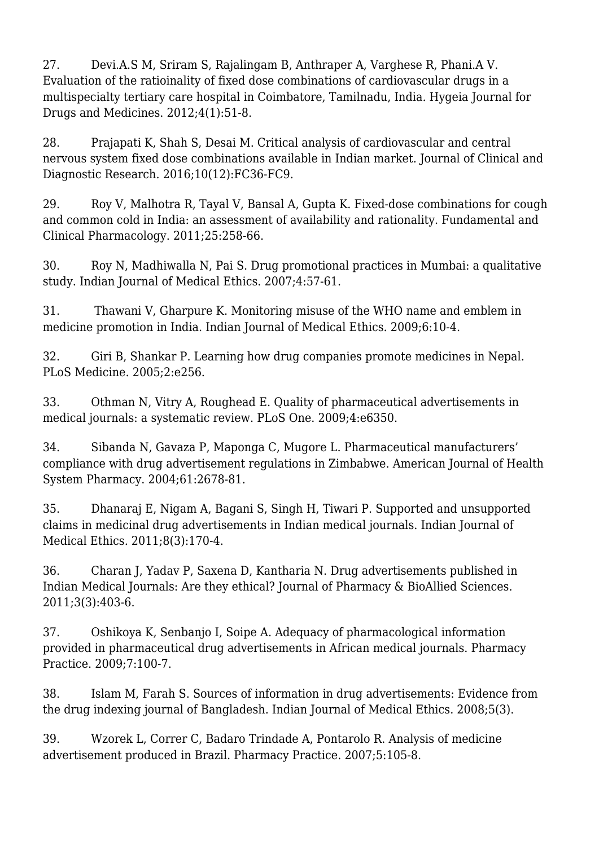27. Devi.A.S M, Sriram S, Rajalingam B, Anthraper A, Varghese R, Phani.A V. Evaluation of the ratioinality of fixed dose combinations of cardiovascular drugs in a multispecialty tertiary care hospital in Coimbatore, Tamilnadu, India. Hygeia Journal for Drugs and Medicines. 2012;4(1):51-8.

28. Prajapati K, Shah S, Desai M. Critical analysis of cardiovascular and central nervous system fixed dose combinations available in Indian market. Journal of Clinical and Diagnostic Research. 2016;10(12):FC36-FC9.

29. Roy V, Malhotra R, Tayal V, Bansal A, Gupta K. Fixed-dose combinations for cough and common cold in India: an assessment of availability and rationality. Fundamental and Clinical Pharmacology. 2011;25:258-66.

30. Roy N, Madhiwalla N, Pai S. Drug promotional practices in Mumbai: a qualitative study. Indian Journal of Medical Ethics. 2007;4:57-61.

31. Thawani V, Gharpure K. Monitoring misuse of the WHO name and emblem in medicine promotion in India. Indian Journal of Medical Ethics. 2009;6:10-4.

32. Giri B, Shankar P. Learning how drug companies promote medicines in Nepal. PLoS Medicine. 2005;2:e256.

33. Othman N, Vitry A, Roughead E. Quality of pharmaceutical advertisements in medical journals: a systematic review. PLoS One. 2009;4:e6350.

34. Sibanda N, Gavaza P, Maponga C, Mugore L. Pharmaceutical manufacturers' compliance with drug advertisement regulations in Zimbabwe. American Journal of Health System Pharmacy. 2004;61:2678-81.

35. Dhanaraj E, Nigam A, Bagani S, Singh H, Tiwari P. Supported and unsupported claims in medicinal drug advertisements in Indian medical journals. Indian Journal of Medical Ethics. 2011;8(3):170-4.

36. Charan J, Yadav P, Saxena D, Kantharia N. Drug advertisements published in Indian Medical Journals: Are they ethical? Journal of Pharmacy & BioAllied Sciences. 2011;3(3):403-6.

37. Oshikoya K, Senbanjo I, Soipe A. Adequacy of pharmacological information provided in pharmaceutical drug advertisements in African medical journals. Pharmacy Practice. 2009;7:100-7.

38. Islam M, Farah S. Sources of information in drug advertisements: Evidence from the drug indexing journal of Bangladesh. Indian Journal of Medical Ethics. 2008;5(3).

39. Wzorek L, Correr C, Badaro Trindade A, Pontarolo R. Analysis of medicine advertisement produced in Brazil. Pharmacy Practice. 2007;5:105-8.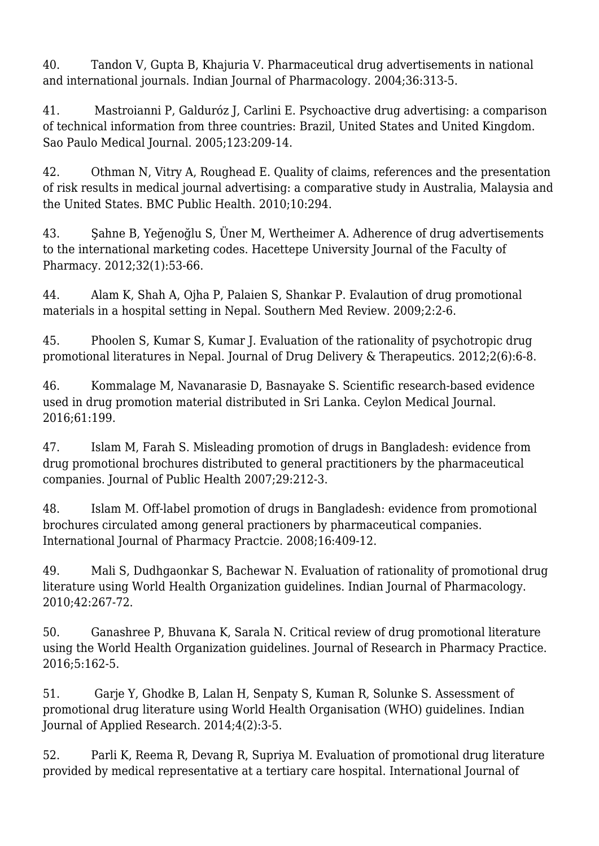40. Tandon V, Gupta B, Khajuria V. Pharmaceutical drug advertisements in national and international journals. Indian Journal of Pharmacology. 2004;36:313-5.

41. Mastroianni P, Galduróz J, Carlini E. Psychoactive drug advertising: a comparison of technical information from three countries: Brazil, United States and United Kingdom. Sao Paulo Medical Journal. 2005;123:209-14.

42. Othman N, Vitry A, Roughead E. Quality of claims, references and the presentation of risk results in medical journal advertising: a comparative study in Australia, Malaysia and the United States. BMC Public Health. 2010;10:294.

43. Şahne B, Yeğenoğlu S, Üner M, Wertheimer A. Adherence of drug advertisements to the international marketing codes. Hacettepe University Journal of the Faculty of Pharmacy. 2012;32(1):53-66.

44. Alam K, Shah A, Ojha P, Palaien S, Shankar P. Evalaution of drug promotional materials in a hospital setting in Nepal. Southern Med Review. 2009;2:2-6.

45. Phoolen S, Kumar S, Kumar J. Evaluation of the rationality of psychotropic drug promotional literatures in Nepal. Journal of Drug Delivery & Therapeutics. 2012;2(6):6-8.

46. Kommalage M, Navanarasie D, Basnayake S. Scientific research-based evidence used in drug promotion material distributed in Sri Lanka. Ceylon Medical Journal. 2016;61:199.

47. Islam M, Farah S. Misleading promotion of drugs in Bangladesh: evidence from drug promotional brochures distributed to general practitioners by the pharmaceutical companies. Journal of Public Health 2007;29:212-3.

48. Islam M. Off-label promotion of drugs in Bangladesh: evidence from promotional brochures circulated among general practioners by pharmaceutical companies. International Journal of Pharmacy Practcie. 2008;16:409-12.

49. Mali S, Dudhgaonkar S, Bachewar N. Evaluation of rationality of promotional drug literature using World Health Organization guidelines. Indian Journal of Pharmacology. 2010;42:267-72.

50. Ganashree P, Bhuvana K, Sarala N. Critical review of drug promotional literature using the World Health Organization guidelines. Journal of Research in Pharmacy Practice. 2016;5:162-5.

51. Garje Y, Ghodke B, Lalan H, Senpaty S, Kuman R, Solunke S. Assessment of promotional drug literature using World Health Organisation (WHO) guidelines. Indian Journal of Applied Research. 2014;4(2):3-5.

52. Parli K, Reema R, Devang R, Supriya M. Evaluation of promotional drug literature provided by medical representative at a tertiary care hospital. International Journal of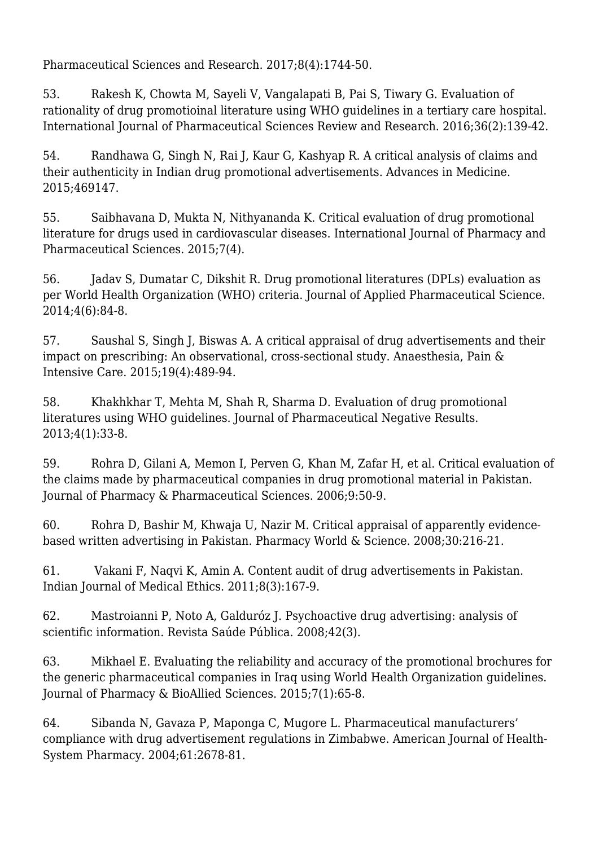Pharmaceutical Sciences and Research. 2017;8(4):1744-50.

53. Rakesh K, Chowta M, Sayeli V, Vangalapati B, Pai S, Tiwary G. Evaluation of rationality of drug promotioinal literature using WHO guidelines in a tertiary care hospital. International Journal of Pharmaceutical Sciences Review and Research. 2016;36(2):139-42.

54. Randhawa G, Singh N, Rai J, Kaur G, Kashyap R. A critical analysis of claims and their authenticity in Indian drug promotional advertisements. Advances in Medicine. 2015;469147.

55. Saibhavana D, Mukta N, Nithyananda K. Critical evaluation of drug promotional literature for drugs used in cardiovascular diseases. International Journal of Pharmacy and Pharmaceutical Sciences. 2015;7(4).

56. Jadav S, Dumatar C, Dikshit R. Drug promotional literatures (DPLs) evaluation as per World Health Organization (WHO) criteria. Journal of Applied Pharmaceutical Science. 2014;4(6):84-8.

57. Saushal S, Singh J, Biswas A. A critical appraisal of drug advertisements and their impact on prescribing: An observational, cross-sectional study. Anaesthesia, Pain & Intensive Care. 2015;19(4):489-94.

58. Khakhkhar T, Mehta M, Shah R, Sharma D. Evaluation of drug promotional literatures using WHO guidelines. Journal of Pharmaceutical Negative Results. 2013;4(1):33-8.

59. Rohra D, Gilani A, Memon I, Perven G, Khan M, Zafar H, et al. Critical evaluation of the claims made by pharmaceutical companies in drug promotional material in Pakistan. Journal of Pharmacy & Pharmaceutical Sciences. 2006;9:50-9.

60. Rohra D, Bashir M, Khwaja U, Nazir M. Critical appraisal of apparently evidencebased written advertising in Pakistan. Pharmacy World & Science. 2008;30:216-21.

61. Vakani F, Naqvi K, Amin A. Content audit of drug advertisements in Pakistan. Indian Journal of Medical Ethics. 2011;8(3):167-9.

62. Mastroianni P, Noto A, Galduróz J. Psychoactive drug advertising: analysis of scientific information. Revista Saúde Pública. 2008;42(3).

63. Mikhael E. Evaluating the reliability and accuracy of the promotional brochures for the generic pharmaceutical companies in Iraq using World Health Organization guidelines. Journal of Pharmacy & BioAllied Sciences. 2015;7(1):65-8.

64. Sibanda N, Gavaza P, Maponga C, Mugore L. Pharmaceutical manufacturers' compliance with drug advertisement regulations in Zimbabwe. American Journal of Health-System Pharmacy. 2004;61:2678-81.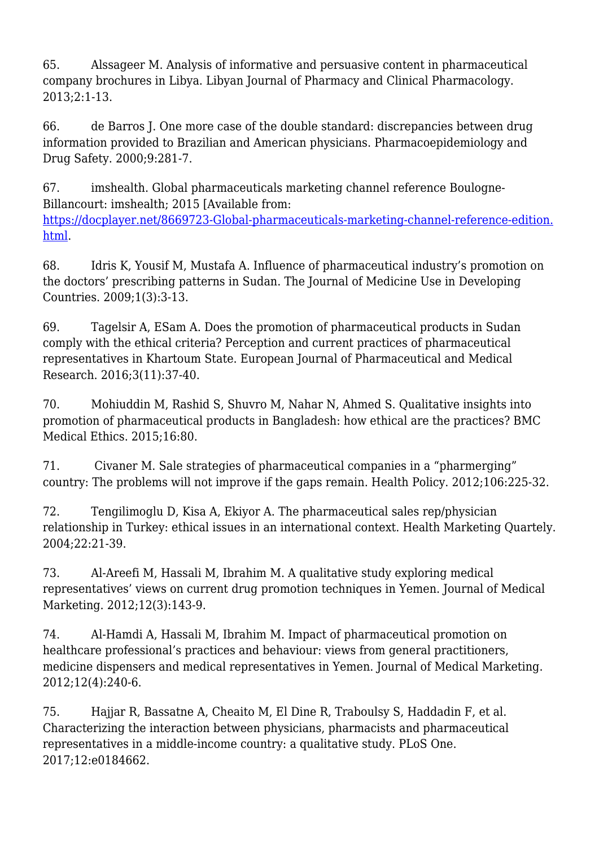65. Alssageer M. Analysis of informative and persuasive content in pharmaceutical company brochures in Libya. Libyan Journal of Pharmacy and Clinical Pharmacology. 2013;2:1-13.

66. de Barros J. One more case of the double standard: discrepancies between drug information provided to Brazilian and American physicians. Pharmacoepidemiology and Drug Safety. 2000;9:281-7.

67. imshealth. Global pharmaceuticals marketing channel reference Boulogne-Billancourt: imshealth; 2015 [Available from: [https://docplayer.net/8669723-Global-pharmaceuticals-marketing-channel-reference-edition.](https://docplayer.net/8669723-Global-pharmaceuticals-marketing-channel-reference-edition.html) [html.](https://docplayer.net/8669723-Global-pharmaceuticals-marketing-channel-reference-edition.html)

68. Idris K, Yousif M, Mustafa A. Influence of pharmaceutical industry's promotion on the doctors' prescribing patterns in Sudan. The Journal of Medicine Use in Developing Countries. 2009;1(3):3-13.

69. Tagelsir A, ESam A. Does the promotion of pharmaceutical products in Sudan comply with the ethical criteria? Perception and current practices of pharmaceutical representatives in Khartoum State. European Journal of Pharmaceutical and Medical Research. 2016;3(11):37-40.

70. Mohiuddin M, Rashid S, Shuvro M, Nahar N, Ahmed S. Qualitative insights into promotion of pharmaceutical products in Bangladesh: how ethical are the practices? BMC Medical Ethics. 2015;16:80.

71. Civaner M. Sale strategies of pharmaceutical companies in a "pharmerging" country: The problems will not improve if the gaps remain. Health Policy. 2012;106:225-32.

72. Tengilimoglu D, Kisa A, Ekiyor A. The pharmaceutical sales rep/physician relationship in Turkey: ethical issues in an international context. Health Marketing Quartely. 2004;22:21-39.

73. Al-Areefi M, Hassali M, Ibrahim M. A qualitative study exploring medical representatives' views on current drug promotion techniques in Yemen. Journal of Medical Marketing. 2012;12(3):143-9.

74. Al-Hamdi A, Hassali M, Ibrahim M. Impact of pharmaceutical promotion on healthcare professional's practices and behaviour: views from general practitioners, medicine dispensers and medical representatives in Yemen. Journal of Medical Marketing. 2012;12(4):240-6.

75. Hajjar R, Bassatne A, Cheaito M, El Dine R, Traboulsy S, Haddadin F, et al. Characterizing the interaction between physicians, pharmacists and pharmaceutical representatives in a middle-income country: a qualitative study. PLoS One. 2017;12:e0184662.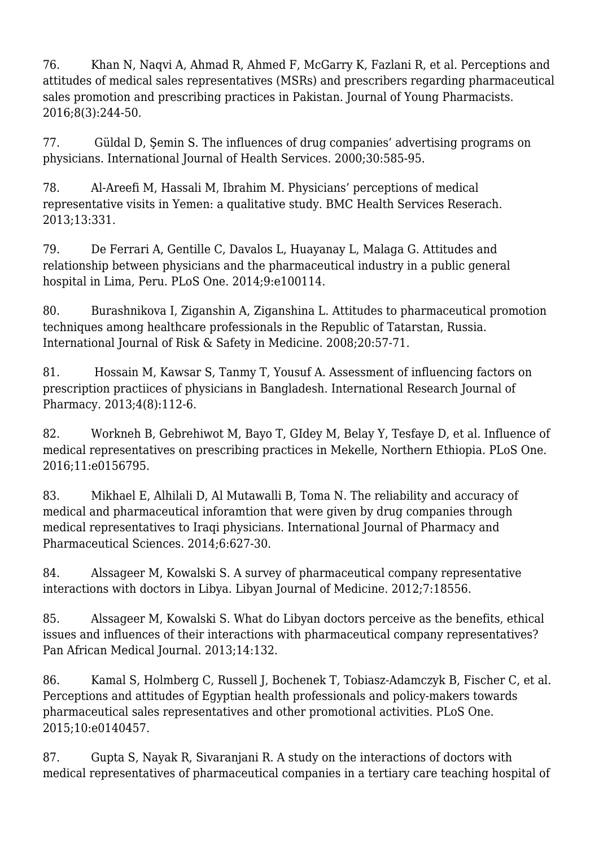76. Khan N, Naqvi A, Ahmad R, Ahmed F, McGarry K, Fazlani R, et al. Perceptions and attitudes of medical sales representatives (MSRs) and prescribers regarding pharmaceutical sales promotion and prescribing practices in Pakistan. Journal of Young Pharmacists. 2016;8(3):244-50.

77. Güldal D, Şemin S. The influences of drug companies' advertising programs on physicians. International Journal of Health Services. 2000;30:585-95.

78. Al-Areefi M, Hassali M, Ibrahim M. Physicians' perceptions of medical representative visits in Yemen: a qualitative study. BMC Health Services Reserach. 2013;13:331.

79. De Ferrari A, Gentille C, Davalos L, Huayanay L, Malaga G. Attitudes and relationship between physicians and the pharmaceutical industry in a public general hospital in Lima, Peru. PLoS One. 2014;9:e100114.

80. Burashnikova I, Ziganshin A, Ziganshina L. Attitudes to pharmaceutical promotion techniques among healthcare professionals in the Republic of Tatarstan, Russia. International Journal of Risk & Safety in Medicine. 2008;20:57-71.

81. Hossain M, Kawsar S, Tanmy T, Yousuf A. Assessment of influencing factors on prescription practiices of physicians in Bangladesh. International Research Journal of Pharmacy. 2013;4(8):112-6.

82. Workneh B, Gebrehiwot M, Bayo T, GIdey M, Belay Y, Tesfaye D, et al. Influence of medical representatives on prescribing practices in Mekelle, Northern Ethiopia. PLoS One. 2016;11:e0156795.

83. Mikhael E, Alhilali D, Al Mutawalli B, Toma N. The reliability and accuracy of medical and pharmaceutical inforamtion that were given by drug companies through medical representatives to Iraqi physicians. International Journal of Pharmacy and Pharmaceutical Sciences. 2014;6:627-30.

84. Alssageer M, Kowalski S. A survey of pharmaceutical company representative interactions with doctors in Libya. Libyan Journal of Medicine. 2012;7:18556.

85. Alssageer M, Kowalski S. What do Libyan doctors perceive as the benefits, ethical issues and influences of their interactions with pharmaceutical company representatives? Pan African Medical Journal. 2013;14:132.

86. Kamal S, Holmberg C, Russell J, Bochenek T, Tobiasz-Adamczyk B, Fischer C, et al. Perceptions and attitudes of Egyptian health professionals and policy-makers towards pharmaceutical sales representatives and other promotional activities. PLoS One. 2015;10:e0140457.

87. Gupta S, Nayak R, Sivaranjani R. A study on the interactions of doctors with medical representatives of pharmaceutical companies in a tertiary care teaching hospital of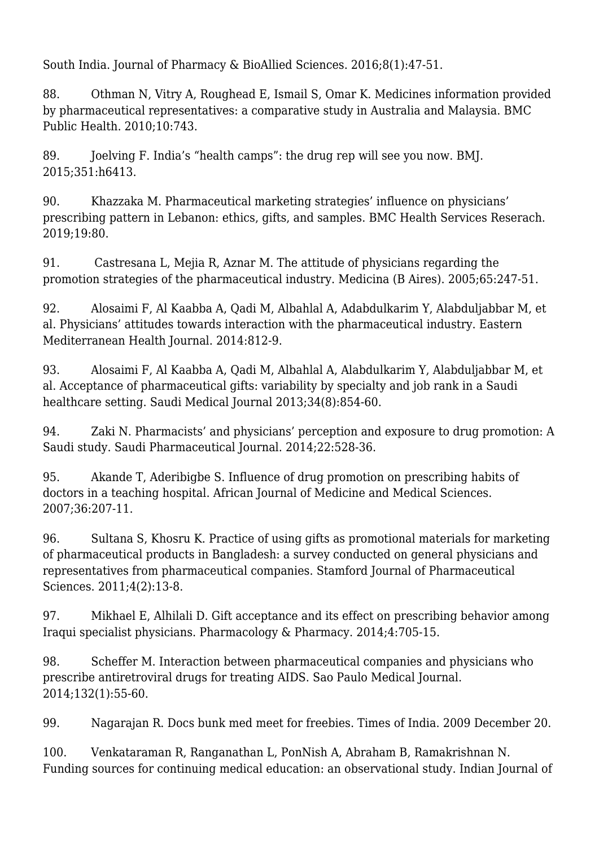South India. Journal of Pharmacy & BioAllied Sciences. 2016;8(1):47-51.

88. Othman N, Vitry A, Roughead E, Ismail S, Omar K. Medicines information provided by pharmaceutical representatives: a comparative study in Australia and Malaysia. BMC Public Health. 2010;10:743.

89. Joelving F. India's "health camps": the drug rep will see you now. BMJ. 2015;351:h6413.

90. Khazzaka M. Pharmaceutical marketing strategies' influence on physicians' prescribing pattern in Lebanon: ethics, gifts, and samples. BMC Health Services Reserach. 2019;19:80.

91. Castresana L, Mejia R, Aznar M. The attitude of physicians regarding the promotion strategies of the pharmaceutical industry. Medicina (B Aires). 2005;65:247-51.

92. Alosaimi F, Al Kaabba A, Qadi M, Albahlal A, Adabdulkarim Y, Alabduljabbar M, et al. Physicians' attitudes towards interaction with the pharmaceutical industry. Eastern Mediterranean Health Journal. 2014:812-9.

93. Alosaimi F, Al Kaabba A, Qadi M, Albahlal A, Alabdulkarim Y, Alabduljabbar M, et al. Acceptance of pharmaceutical gifts: variability by specialty and job rank in a Saudi healthcare setting. Saudi Medical Journal 2013;34(8):854-60.

94. Zaki N. Pharmacists' and physicians' perception and exposure to drug promotion: A Saudi study. Saudi Pharmaceutical Journal. 2014;22:528-36.

95. Akande T, Aderibigbe S. Influence of drug promotion on prescribing habits of doctors in a teaching hospital. African Journal of Medicine and Medical Sciences. 2007;36:207-11.

96. Sultana S, Khosru K. Practice of using gifts as promotional materials for marketing of pharmaceutical products in Bangladesh: a survey conducted on general physicians and representatives from pharmaceutical companies. Stamford Journal of Pharmaceutical Sciences. 2011;4(2):13-8.

97. Mikhael E, Alhilali D. Gift acceptance and its effect on prescribing behavior among Iraqui specialist physicians. Pharmacology & Pharmacy. 2014;4:705-15.

98. Scheffer M. Interaction between pharmaceutical companies and physicians who prescribe antiretroviral drugs for treating AIDS. Sao Paulo Medical Journal. 2014;132(1):55-60.

99. Nagarajan R. Docs bunk med meet for freebies. Times of India. 2009 December 20.

100. Venkataraman R, Ranganathan L, PonNish A, Abraham B, Ramakrishnan N. Funding sources for continuing medical education: an observational study. Indian Journal of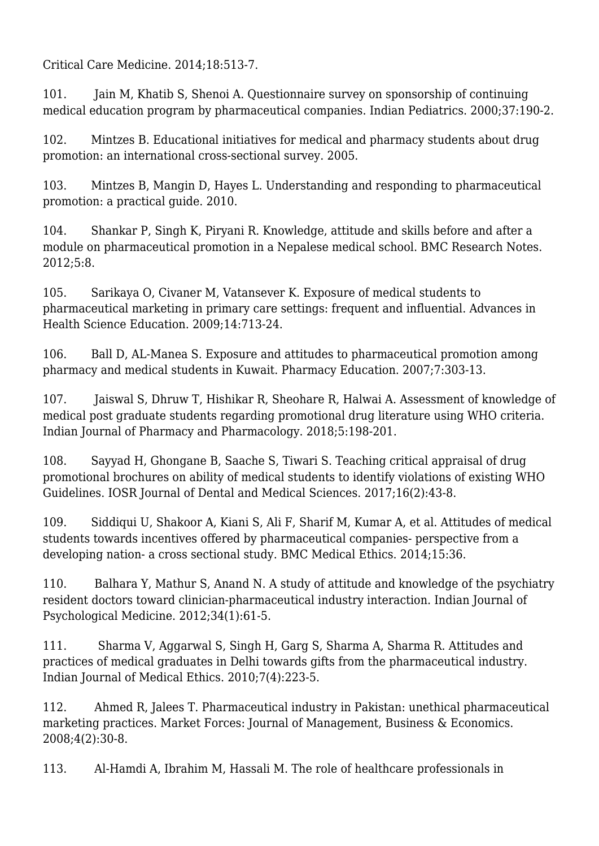Critical Care Medicine. 2014;18:513-7.

101. Jain M, Khatib S, Shenoi A. Questionnaire survey on sponsorship of continuing medical education program by pharmaceutical companies. Indian Pediatrics. 2000;37:190-2.

102. Mintzes B. Educational initiatives for medical and pharmacy students about drug promotion: an international cross-sectional survey. 2005.

103. Mintzes B, Mangin D, Hayes L. Understanding and responding to pharmaceutical promotion: a practical guide. 2010.

104. Shankar P, Singh K, Piryani R. Knowledge, attitude and skills before and after a module on pharmaceutical promotion in a Nepalese medical school. BMC Research Notes. 2012;5:8.

105. Sarikaya O, Civaner M, Vatansever K. Exposure of medical students to pharmaceutical marketing in primary care settings: frequent and influential. Advances in Health Science Education. 2009;14:713-24.

106. Ball D, AL-Manea S. Exposure and attitudes to pharmaceutical promotion among pharmacy and medical students in Kuwait. Pharmacy Education. 2007;7:303-13.

107. Jaiswal S, Dhruw T, Hishikar R, Sheohare R, Halwai A. Assessment of knowledge of medical post graduate students regarding promotional drug literature using WHO criteria. Indian Journal of Pharmacy and Pharmacology. 2018;5:198-201.

108. Sayyad H, Ghongane B, Saache S, Tiwari S. Teaching critical appraisal of drug promotional brochures on ability of medical students to identify violations of existing WHO Guidelines. IOSR Journal of Dental and Medical Sciences. 2017;16(2):43-8.

109. Siddiqui U, Shakoor A, Kiani S, Ali F, Sharif M, Kumar A, et al. Attitudes of medical students towards incentives offered by pharmaceutical companies- perspective from a developing nation- a cross sectional study. BMC Medical Ethics. 2014;15:36.

110. Balhara Y, Mathur S, Anand N. A study of attitude and knowledge of the psychiatry resident doctors toward clinician-pharmaceutical industry interaction. Indian Journal of Psychological Medicine. 2012;34(1):61-5.

111. Sharma V, Aggarwal S, Singh H, Garg S, Sharma A, Sharma R. Attitudes and practices of medical graduates in Delhi towards gifts from the pharmaceutical industry. Indian Journal of Medical Ethics. 2010;7(4):223-5.

112. Ahmed R, Jalees T. Pharmaceutical industry in Pakistan: unethical pharmaceutical marketing practices. Market Forces: Journal of Management, Business & Economics. 2008;4(2):30-8.

113. Al-Hamdi A, Ibrahim M, Hassali M. The role of healthcare professionals in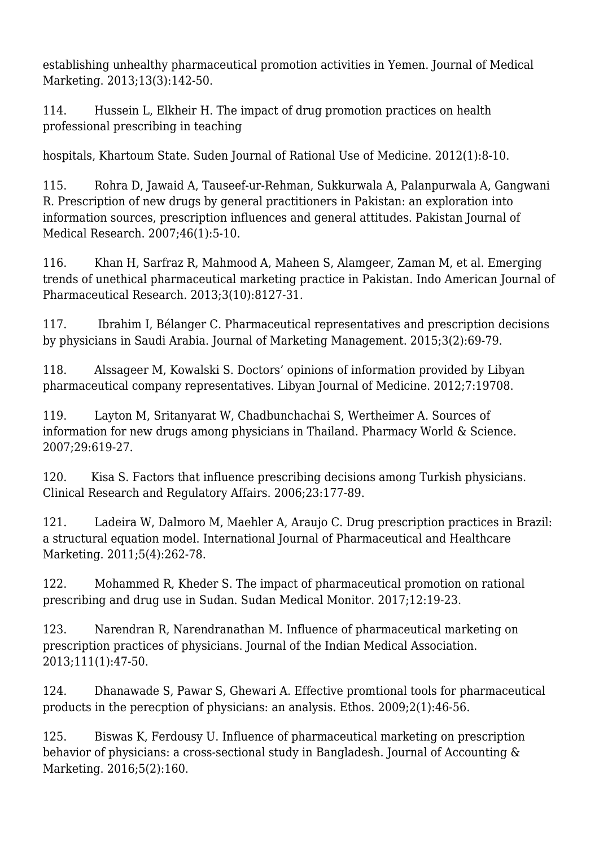establishing unhealthy pharmaceutical promotion activities in Yemen. Journal of Medical Marketing. 2013;13(3):142-50.

114. Hussein L, Elkheir H. The impact of drug promotion practices on health professional prescribing in teaching

hospitals, Khartoum State. Suden Journal of Rational Use of Medicine. 2012(1):8-10.

115. Rohra D, Jawaid A, Tauseef-ur-Rehman, Sukkurwala A, Palanpurwala A, Gangwani R. Prescription of new drugs by general practitioners in Pakistan: an exploration into information sources, prescription influences and general attitudes. Pakistan Journal of Medical Research. 2007;46(1):5-10.

116. Khan H, Sarfraz R, Mahmood A, Maheen S, Alamgeer, Zaman M, et al. Emerging trends of unethical pharmaceutical marketing practice in Pakistan. Indo American Journal of Pharmaceutical Research. 2013;3(10):8127-31.

117. Ibrahim I, Bélanger C. Pharmaceutical representatives and prescription decisions by physicians in Saudi Arabia. Journal of Marketing Management. 2015;3(2):69-79.

118. Alssageer M, Kowalski S. Doctors' opinions of information provided by Libyan pharmaceutical company representatives. Libyan Journal of Medicine. 2012;7:19708.

119. Layton M, Sritanyarat W, Chadbunchachai S, Wertheimer A. Sources of information for new drugs among physicians in Thailand. Pharmacy World & Science. 2007;29:619-27.

120. Kisa S. Factors that influence prescribing decisions among Turkish physicians. Clinical Research and Regulatory Affairs. 2006;23:177-89.

121. Ladeira W, Dalmoro M, Maehler A, Araujo C. Drug prescription practices in Brazil: a structural equation model. International Journal of Pharmaceutical and Healthcare Marketing. 2011;5(4):262-78.

122. Mohammed R, Kheder S. The impact of pharmaceutical promotion on rational prescribing and drug use in Sudan. Sudan Medical Monitor. 2017;12:19-23.

123. Narendran R, Narendranathan M. Influence of pharmaceutical marketing on prescription practices of physicians. Journal of the Indian Medical Association. 2013;111(1):47-50.

124. Dhanawade S, Pawar S, Ghewari A. Effective promtional tools for pharmaceutical products in the perecption of physicians: an analysis. Ethos. 2009;2(1):46-56.

125. Biswas K, Ferdousy U. Influence of pharmaceutical marketing on prescription behavior of physicians: a cross-sectional study in Bangladesh. Journal of Accounting & Marketing. 2016;5(2):160.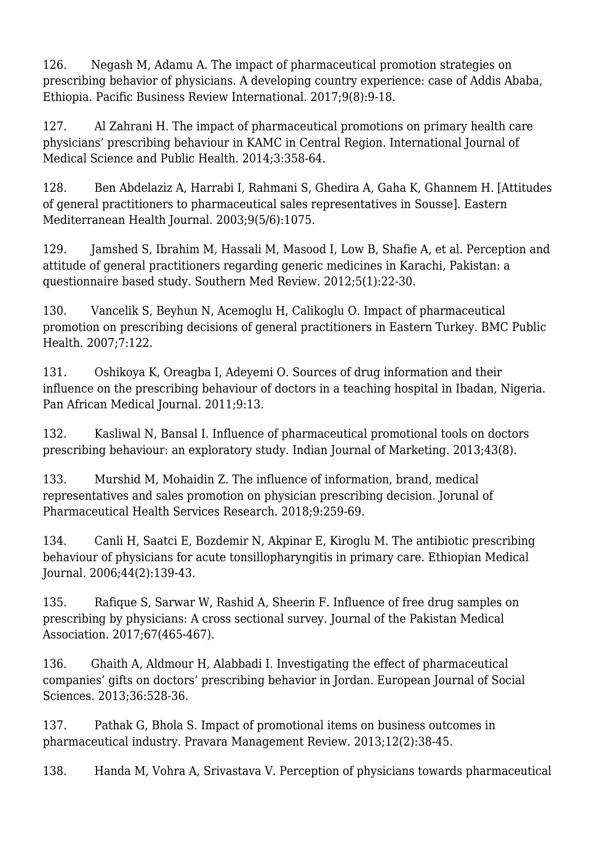126. Negash M, Adamu A. The impact of pharmaceutical promotion strategies on prescribing behavior of physicians. A developing country experience: case of Addis Ababa, Ethiopia. Pacific Business Review International. 2017;9(8):9-18.

127. Al Zahrani H. The impact of pharmaceutical promotions on primary health care physicians' prescribing behaviour in KAMC in Central Region. International Journal of Medical Science and Public Health. 2014;3:358-64.

128. Ben Abdelaziz A, Harrabi I, Rahmani S, Ghedira A, Gaha K, Ghannem H. [Attitudes of general practitioners to pharmaceutical sales representatives in Sousse]. Eastern Mediterranean Health Journal. 2003;9(5/6):1075.

129. Jamshed S, Ibrahim M, Hassali M, Masood I, Low B, Shafie A, et al. Perception and attitude of general practitioners regarding generic medicines in Karachi, Pakistan: a questionnaire based study. Southern Med Review. 2012;5(1):22-30.

130. Vancelik S, Beyhun N, Acemoglu H, Calikoglu O. Impact of pharmaceutical promotion on prescribing decisions of general practitioners in Eastern Turkey. BMC Public Health. 2007;7:122.

131. Oshikoya K, Oreagba I, Adeyemi O. Sources of drug information and their influence on the prescribing behaviour of doctors in a teaching hospital in Ibadan, Nigeria. Pan African Medical Journal. 2011;9:13.

132. Kasliwal N, Bansal I. Influence of pharmaceutical promotional tools on doctors prescribing behaviour: an exploratory study. Indian Journal of Marketing. 2013;43(8).

133. Murshid M, Mohaidin Z. The influence of information, brand, medical representatives and sales promotion on physician prescribing decision. Jorunal of Pharmaceutical Health Services Research. 2018;9:259-69.

134. Canli H, Saatci E, Bozdemir N, Akpinar E, Kiroglu M. The antibiotic prescribing behaviour of physicians for acute tonsillopharyngitis in primary care. Ethiopian Medical Journal. 2006;44(2):139-43.

135. Rafique S, Sarwar W, Rashid A, Sheerin F. Influence of free drug samples on prescribing by physicians: A cross sectional survey. Journal of the Pakistan Medical Association. 2017;67(465-467).

136. Ghaith A, Aldmour H, Alabbadi I. Investigating the effect of pharmaceutical companies' gifts on doctors' prescribing behavior in Jordan. European Journal of Social Sciences. 2013;36:528-36.

137. Pathak G, Bhola S. Impact of promotional items on business outcomes in pharmaceutical industry. Pravara Management Review. 2013;12(2):38-45.

138. Handa M, Vohra A, Srivastava V. Perception of physicians towards pharmaceutical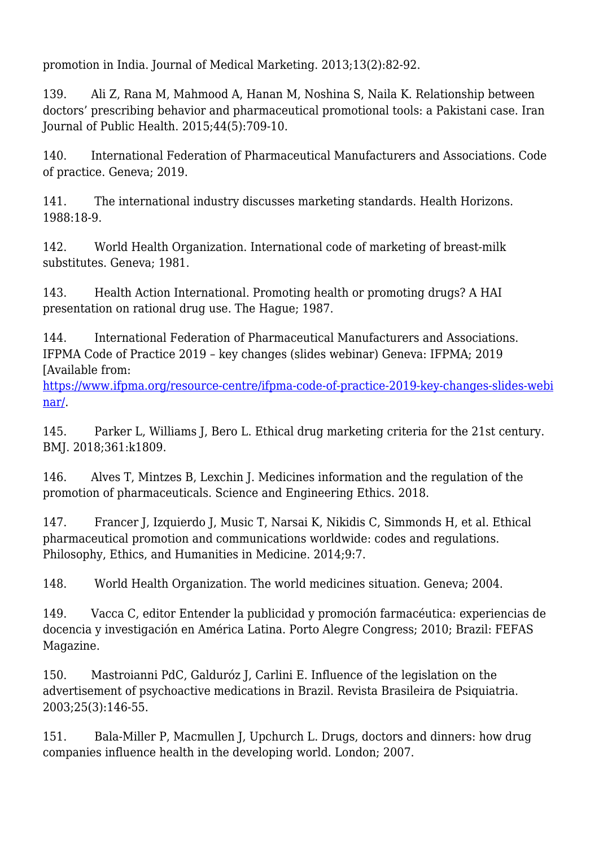promotion in India. Journal of Medical Marketing. 2013;13(2):82-92.

139. Ali Z, Rana M, Mahmood A, Hanan M, Noshina S, Naila K. Relationship between doctors' prescribing behavior and pharmaceutical promotional tools: a Pakistani case. Iran Journal of Public Health. 2015;44(5):709-10.

140. International Federation of Pharmaceutical Manufacturers and Associations. Code of practice. Geneva; 2019.

141. The international industry discusses marketing standards. Health Horizons. 1988:18-9.

142. World Health Organization. International code of marketing of breast-milk substitutes. Geneva; 1981.

143. Health Action International. Promoting health or promoting drugs? A HAI presentation on rational drug use. The Hague; 1987.

144. International Federation of Pharmaceutical Manufacturers and Associations. IFPMA Code of Practice 2019 – key changes (slides webinar) Geneva: IFPMA; 2019 [Available from:

[https://www.ifpma.org/resource-centre/ifpma-code-of-practice-2019-key-changes-slides-webi](https://www.ifpma.org/resource-centre/ifpma-code-of-practice-2019-key-changes-slides-webinar/) [nar/.](https://www.ifpma.org/resource-centre/ifpma-code-of-practice-2019-key-changes-slides-webinar/)

145. Parker L, Williams J, Bero L. Ethical drug marketing criteria for the 21st century. BMJ. 2018;361:k1809.

146. Alves T, Mintzes B, Lexchin J. Medicines information and the regulation of the promotion of pharmaceuticals. Science and Engineering Ethics. 2018.

147. Francer J, Izquierdo J, Music T, Narsai K, Nikidis C, Simmonds H, et al. Ethical pharmaceutical promotion and communications worldwide: codes and regulations. Philosophy, Ethics, and Humanities in Medicine. 2014;9:7.

148. World Health Organization. The world medicines situation. Geneva; 2004.

149. Vacca C, editor Entender la publicidad y promoción farmacéutica: experiencias de docencia y investigación en América Latina. Porto Alegre Congress; 2010; Brazil: FEFAS Magazine.

150. Mastroianni PdC, Galduróz J, Carlini E. Influence of the legislation on the advertisement of psychoactive medications in Brazil. Revista Brasileira de Psiquiatria. 2003;25(3):146-55.

151. Bala-Miller P, Macmullen J, Upchurch L. Drugs, doctors and dinners: how drug companies influence health in the developing world. London; 2007.